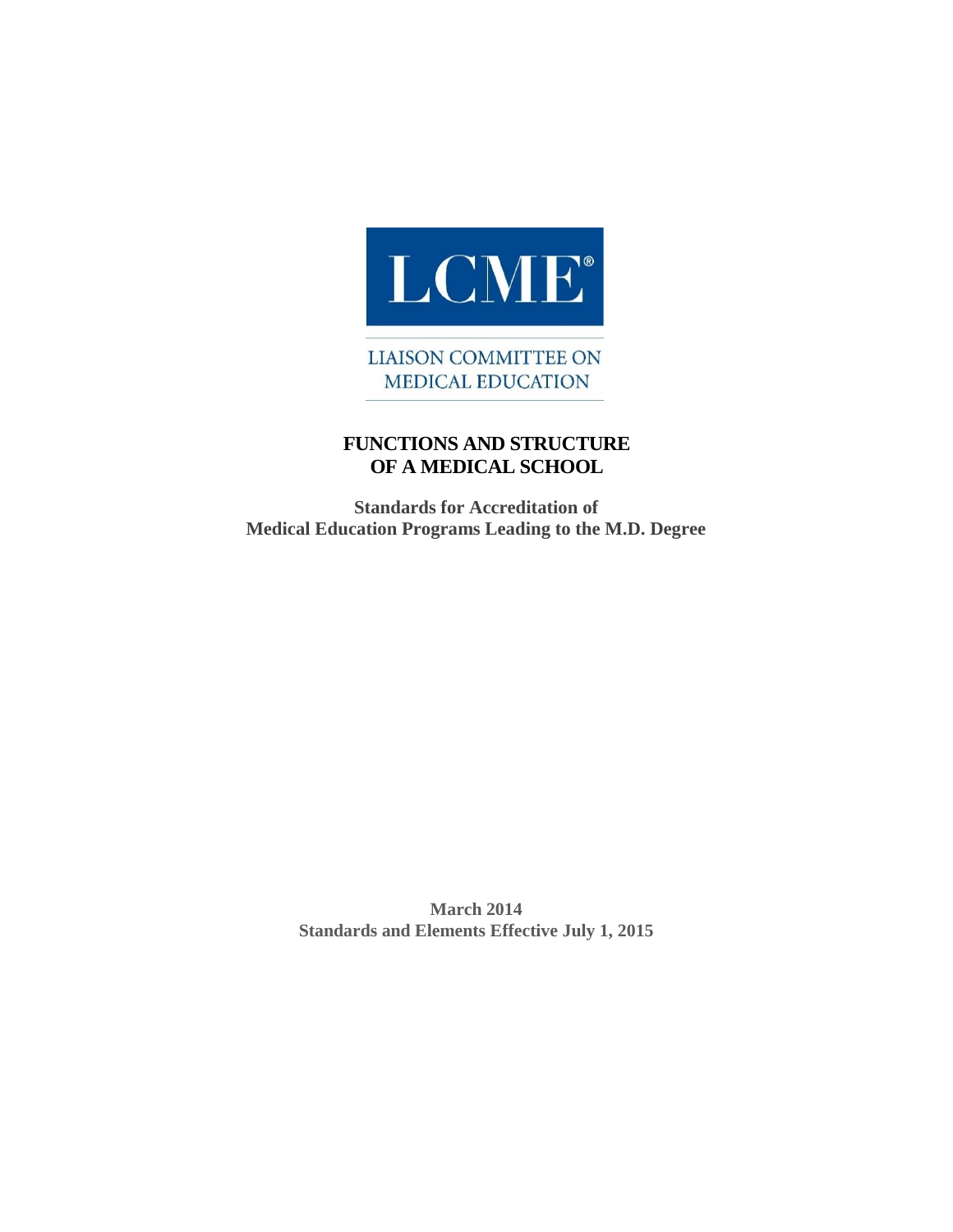

**LIAISON COMMITTEE ON MEDICAL EDUCATION** 

## **FUNCTIONS AND STRUCTURE OF A MEDICAL SCHOOL**

**Standards for Accreditation of Medical Education Programs Leading to the M.D. Degree**

> **March 2014 Standards and Elements Effective July 1, 2015**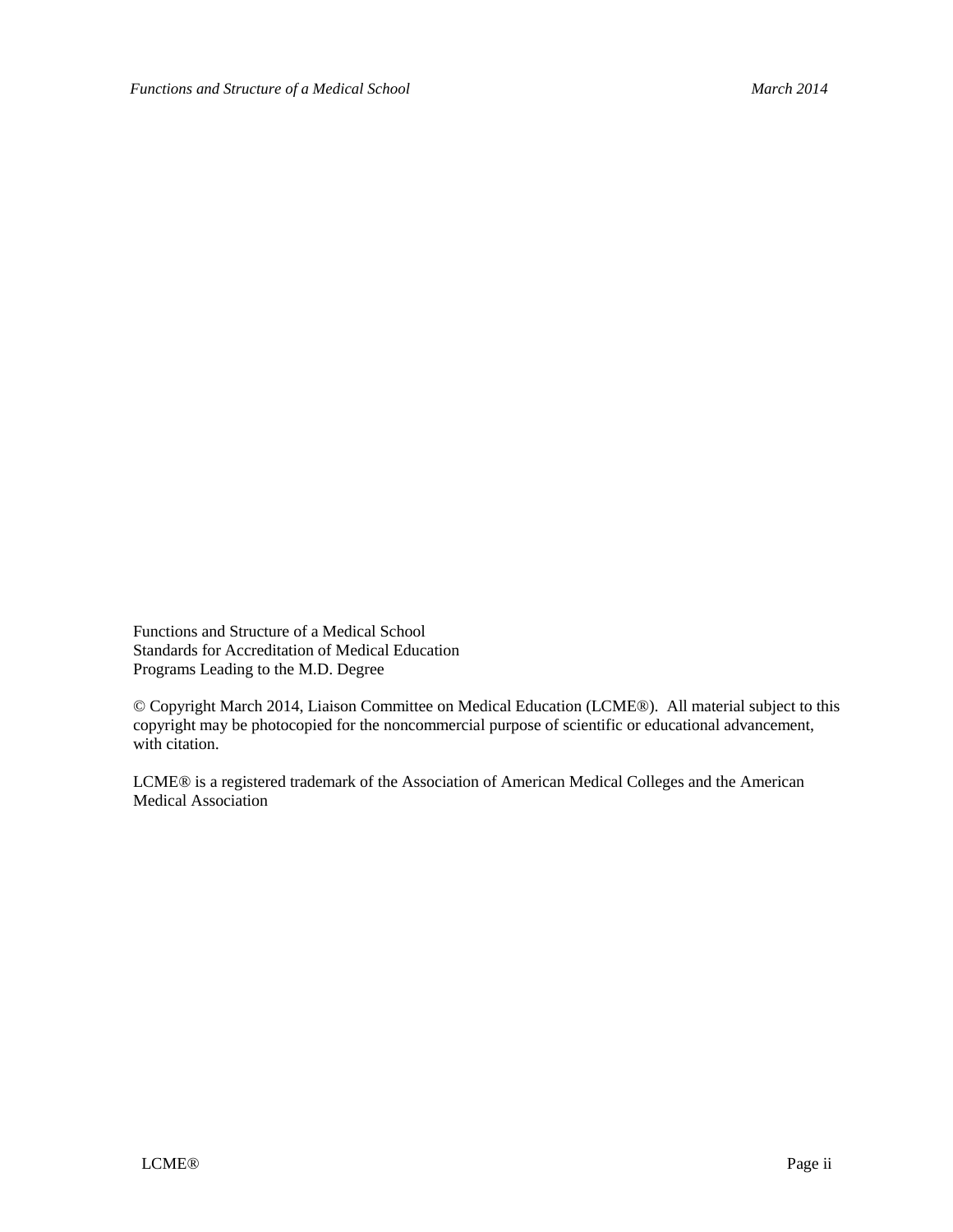Functions and Structure of a Medical School Standards for Accreditation of Medical Education Programs Leading to the M.D. Degree

© Copyright March 2014, Liaison Committee on Medical Education (LCME®). All material subject to this copyright may be photocopied for the noncommercial purpose of scientific or educational advancement, with citation.

LCME® is a registered trademark of the Association of American Medical Colleges and the American Medical Association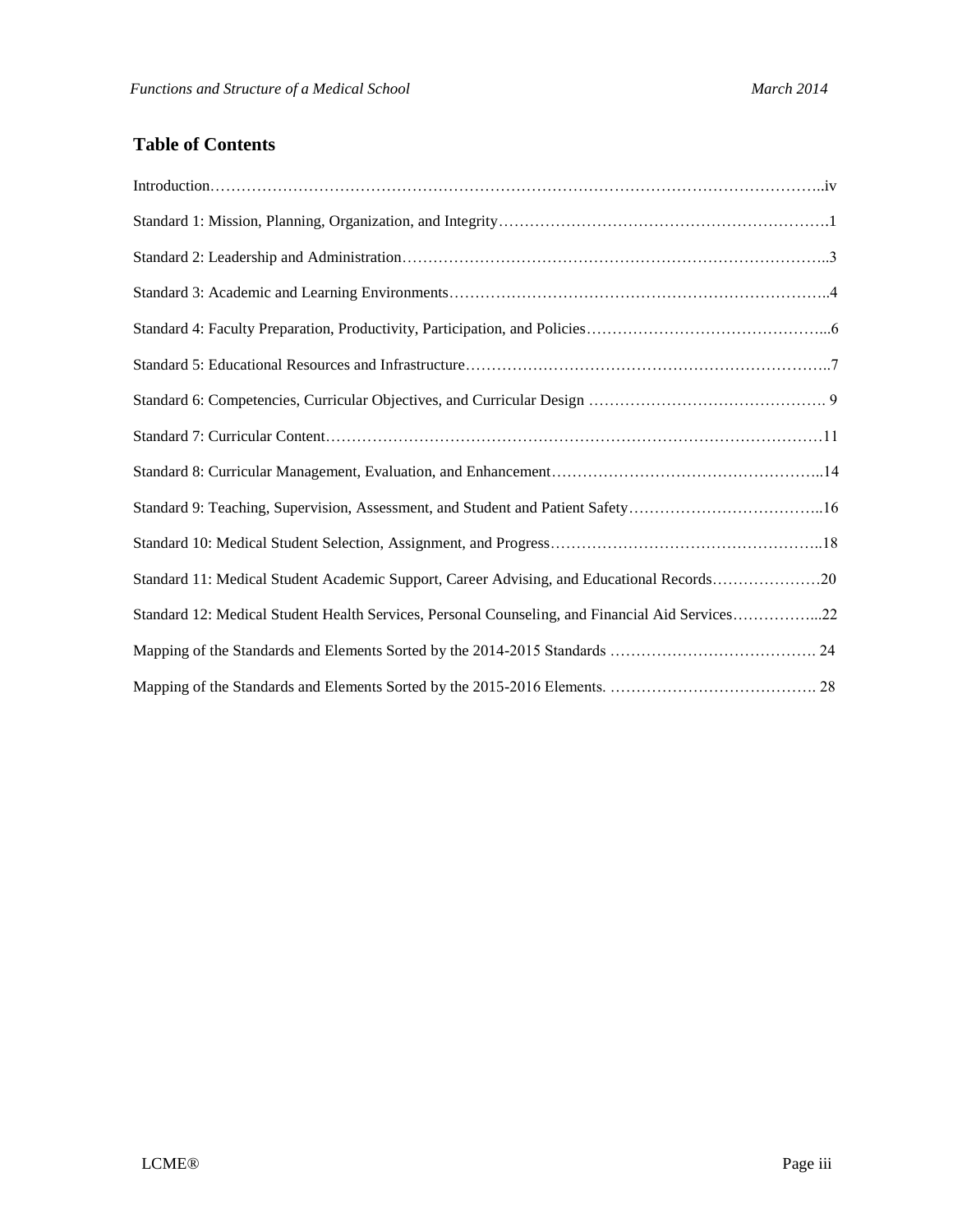## **Table of Contents**

| Standard 9: Teaching, Supervision, Assessment, and Student and Patient Safety16                 |  |
|-------------------------------------------------------------------------------------------------|--|
|                                                                                                 |  |
| Standard 11: Medical Student Academic Support, Career Advising, and Educational Records20       |  |
| Standard 12: Medical Student Health Services, Personal Counseling, and Financial Aid Services22 |  |
|                                                                                                 |  |
|                                                                                                 |  |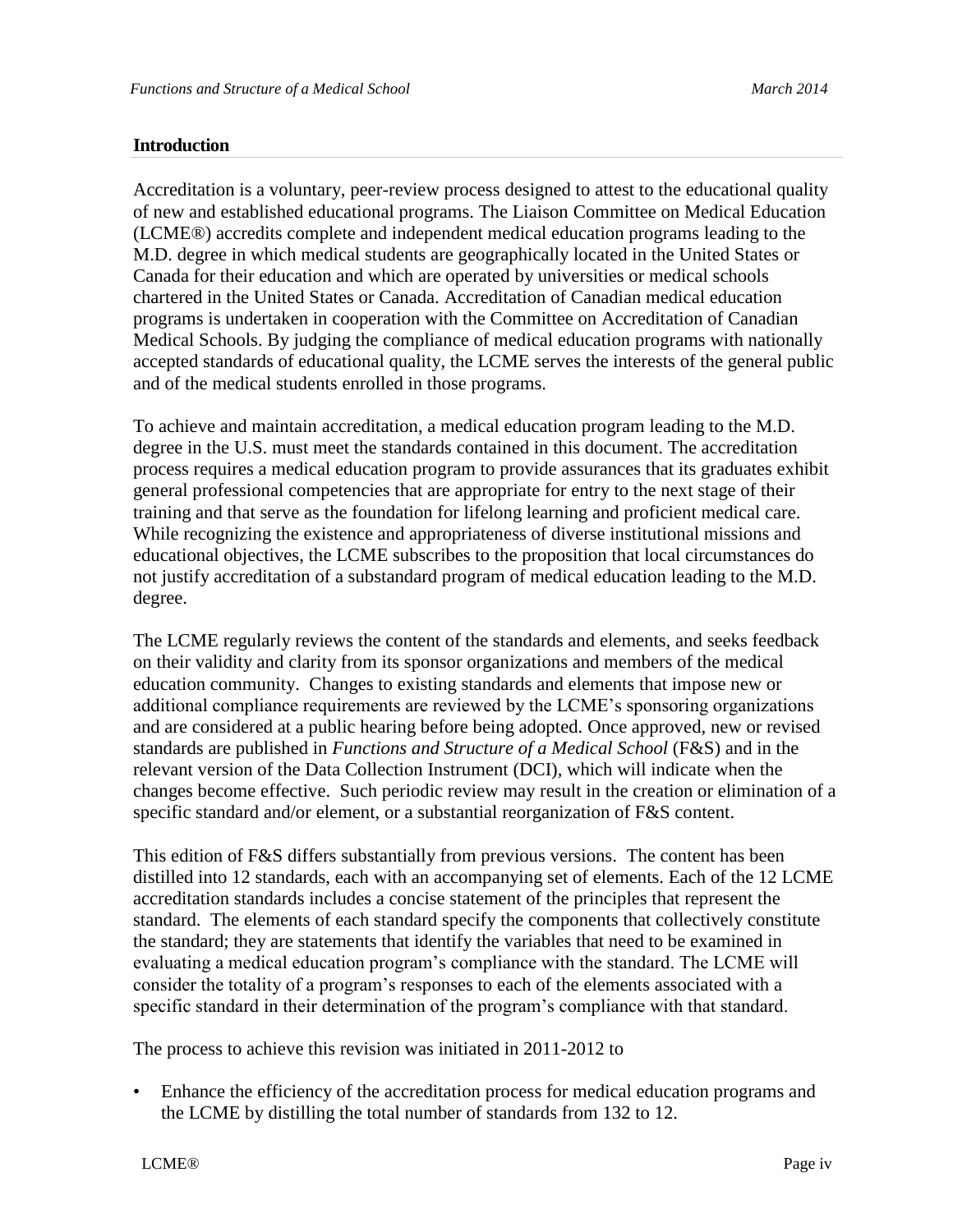#### **Introduction**

Accreditation is a voluntary, peer-review process designed to attest to the educational quality of new and established educational programs. The Liaison Committee on Medical Education (LCME®) accredits complete and independent medical education programs leading to the M.D. degree in which medical students are geographically located in the United States or Canada for their education and which are operated by universities or medical schools chartered in the United States or Canada. Accreditation of Canadian medical education programs is undertaken in cooperation with the Committee on Accreditation of Canadian Medical Schools. By judging the compliance of medical education programs with nationally accepted standards of educational quality, the LCME serves the interests of the general public and of the medical students enrolled in those programs.

To achieve and maintain accreditation, a medical education program leading to the M.D. degree in the U.S. must meet the standards contained in this document. The accreditation process requires a medical education program to provide assurances that its graduates exhibit general professional competencies that are appropriate for entry to the next stage of their training and that serve as the foundation for lifelong learning and proficient medical care. While recognizing the existence and appropriateness of diverse institutional missions and educational objectives, the LCME subscribes to the proposition that local circumstances do not justify accreditation of a substandard program of medical education leading to the M.D. degree.

The LCME regularly reviews the content of the standards and elements, and seeks feedback on their validity and clarity from its sponsor organizations and members of the medical education community. Changes to existing standards and elements that impose new or additional compliance requirements are reviewed by the LCME's sponsoring organizations and are considered at a public hearing before being adopted. Once approved, new or revised standards are published in *Functions and Structure of a Medical School* (F&S) and in the relevant version of the Data Collection Instrument (DCI), which will indicate when the changes become effective. Such periodic review may result in the creation or elimination of a specific standard and/or element, or a substantial reorganization of F&S content.

This edition of F&S differs substantially from previous versions. The content has been distilled into 12 standards, each with an accompanying set of elements. Each of the 12 LCME accreditation standards includes a concise statement of the principles that represent the standard. The elements of each standard specify the components that collectively constitute the standard; they are statements that identify the variables that need to be examined in evaluating a medical education program's compliance with the standard. The LCME will consider the totality of a program's responses to each of the elements associated with a specific standard in their determination of the program's compliance with that standard.

The process to achieve this revision was initiated in 2011-2012 to

• Enhance the efficiency of the accreditation process for medical education programs and the LCME by distilling the total number of standards from 132 to 12.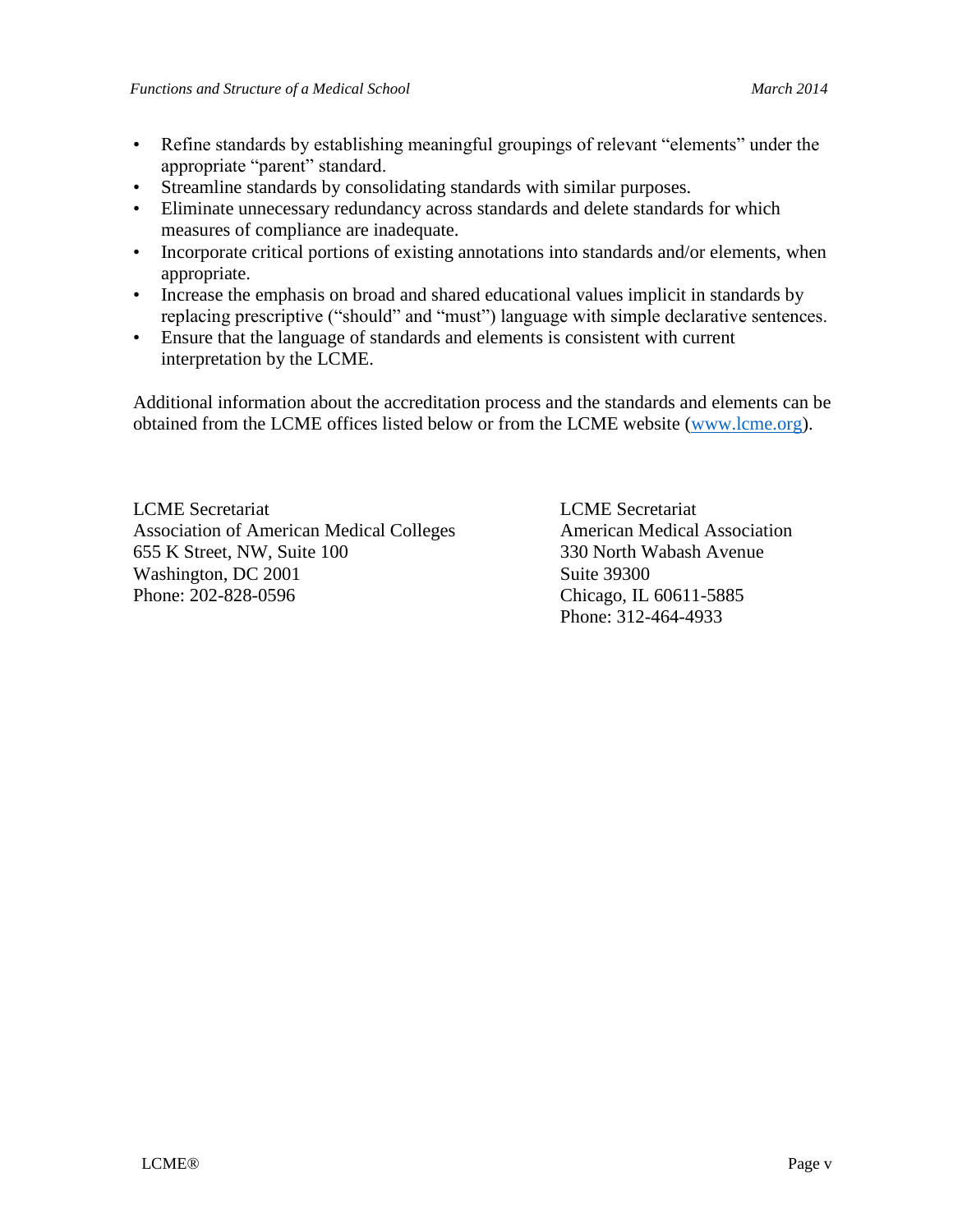- Refine standards by establishing meaningful groupings of relevant "elements" under the appropriate "parent" standard.
- Streamline standards by consolidating standards with similar purposes.
- Eliminate unnecessary redundancy across standards and delete standards for which measures of compliance are inadequate.
- Incorporate critical portions of existing annotations into standards and/or elements, when appropriate.
- Increase the emphasis on broad and shared educational values implicit in standards by replacing prescriptive ("should" and "must") language with simple declarative sentences.
- Ensure that the language of standards and elements is consistent with current interpretation by the LCME.

Additional information about the accreditation process and the standards and elements can be obtained from the LCME offices listed below or from the LCME website [\(www.lcme.org\)](http://www.lcme.org/).

LCME Secretariat LCME Secretariat Association of American Medical Colleges American Medical Association 655 K Street, NW, Suite 100 330 North Wabash Avenue Washington, DC 2001 Suite 39300 Phone: 202-828-0596 Chicago, IL 60611-5885

Phone: 312-464-4933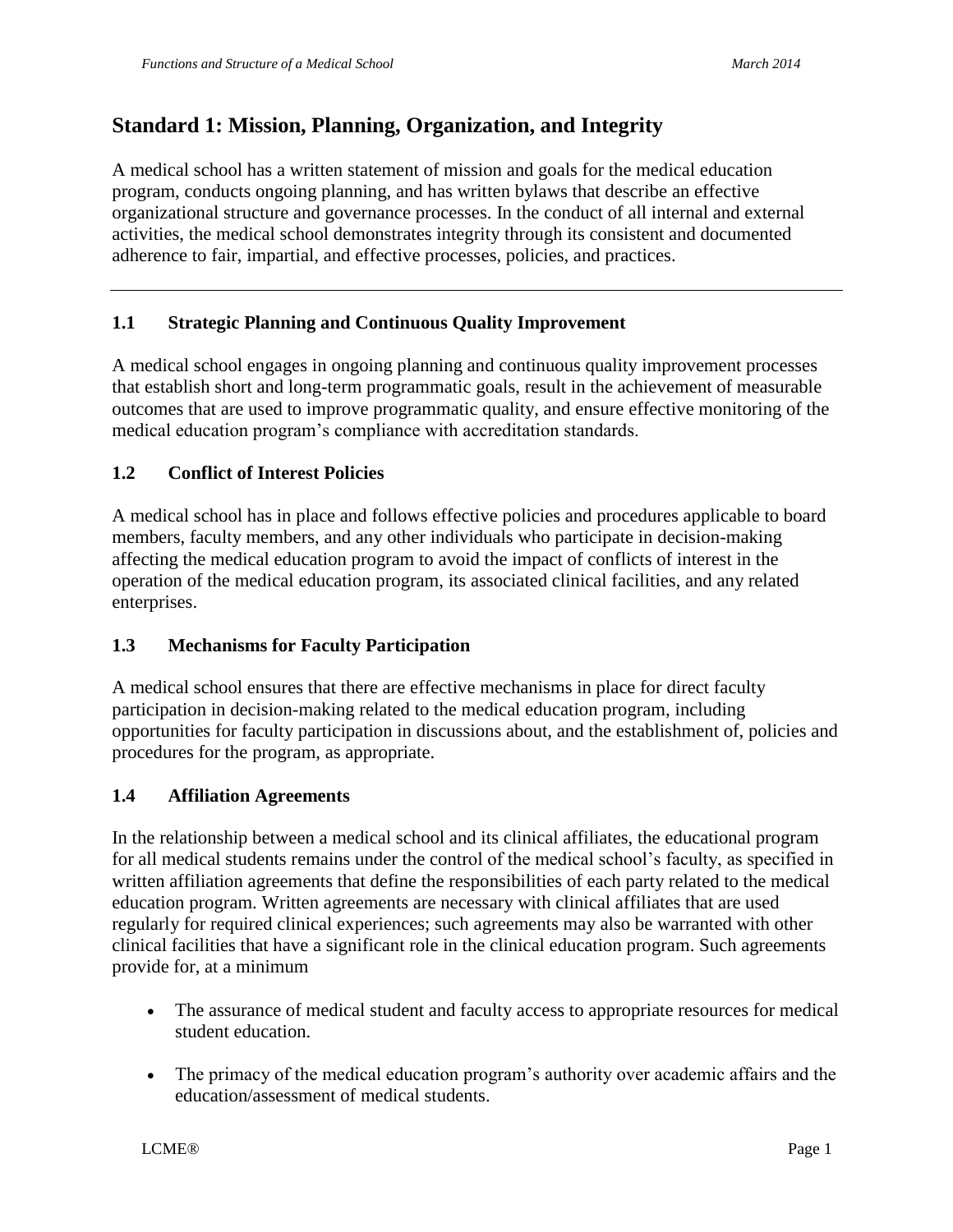# **Standard 1: Mission, Planning, Organization, and Integrity**

A medical school has a written statement of mission and goals for the medical education program, conducts ongoing planning, and has written bylaws that describe an effective organizational structure and governance processes. In the conduct of all internal and external activities, the medical school demonstrates integrity through its consistent and documented adherence to fair, impartial, and effective processes, policies, and practices.

## **1.1 Strategic Planning and Continuous Quality Improvement**

A medical school engages in ongoing planning and continuous quality improvement processes that establish short and long-term programmatic goals, result in the achievement of measurable outcomes that are used to improve programmatic quality, and ensure effective monitoring of the medical education program's compliance with accreditation standards.

#### **1.2 Conflict of Interest Policies**

A medical school has in place and follows effective policies and procedures applicable to board members, faculty members, and any other individuals who participate in decision-making affecting the medical education program to avoid the impact of conflicts of interest in the operation of the medical education program, its associated clinical facilities, and any related enterprises.

#### **1.3 Mechanisms for Faculty Participation**

A medical school ensures that there are effective mechanisms in place for direct faculty participation in decision-making related to the medical education program, including opportunities for faculty participation in discussions about, and the establishment of, policies and procedures for the program, as appropriate.

#### **1.4 Affiliation Agreements**

In the relationship between a medical school and its clinical affiliates, the educational program for all medical students remains under the control of the medical school's faculty, as specified in written affiliation agreements that define the responsibilities of each party related to the medical education program. Written agreements are necessary with clinical affiliates that are used regularly for required clinical experiences; such agreements may also be warranted with other clinical facilities that have a significant role in the clinical education program. Such agreements provide for, at a minimum

- The assurance of medical student and faculty access to appropriate resources for medical student education.
- The primacy of the medical education program's authority over academic affairs and the education/assessment of medical students.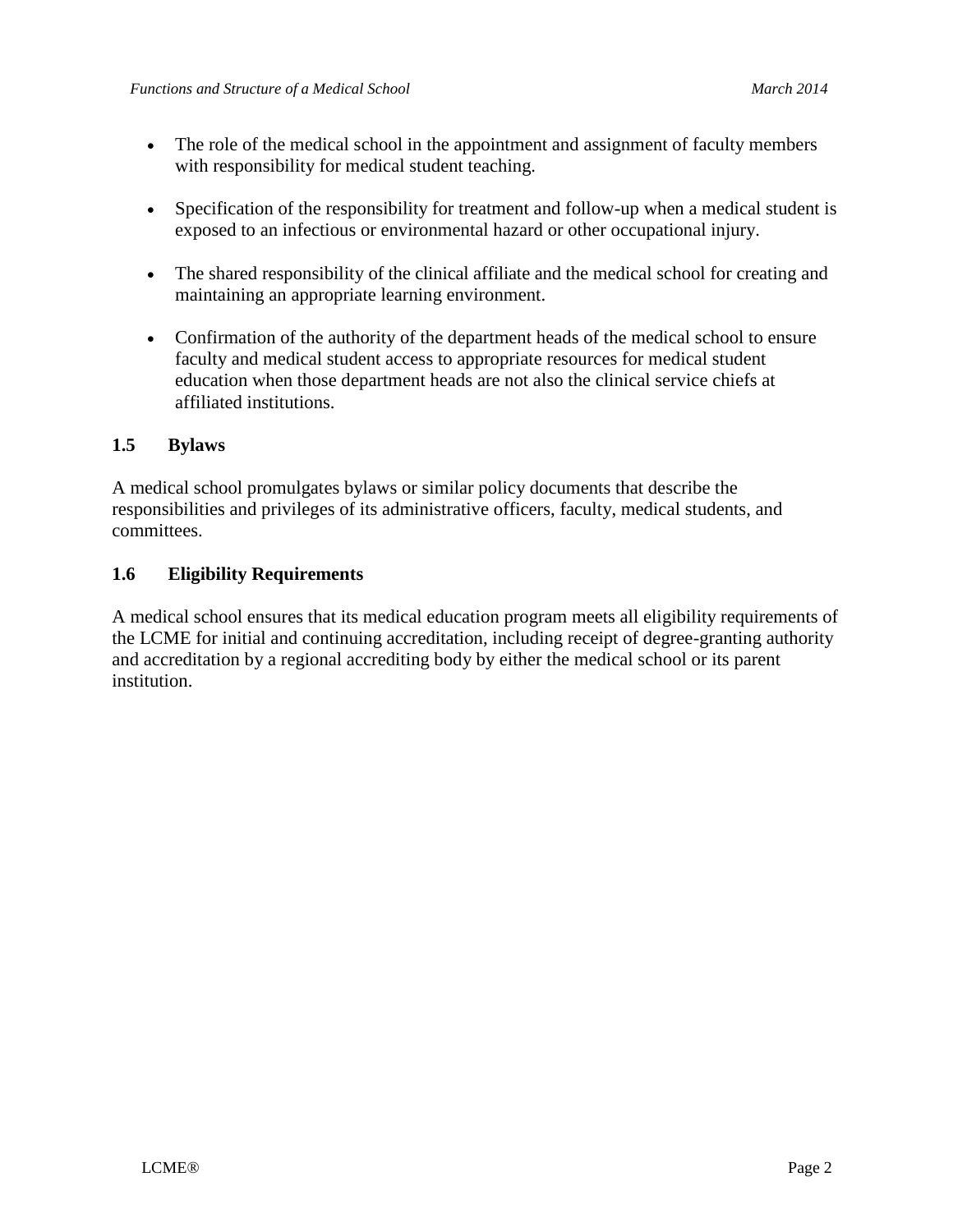- The role of the medical school in the appointment and assignment of faculty members with responsibility for medical student teaching.
- Specification of the responsibility for treatment and follow-up when a medical student is exposed to an infectious or environmental hazard or other occupational injury.
- The shared responsibility of the clinical affiliate and the medical school for creating and maintaining an appropriate learning environment.
- Confirmation of the authority of the department heads of the medical school to ensure faculty and medical student access to appropriate resources for medical student education when those department heads are not also the clinical service chiefs at affiliated institutions.

## **1.5 Bylaws**

A medical school promulgates bylaws or similar policy documents that describe the responsibilities and privileges of its administrative officers, faculty, medical students, and committees.

#### **1.6 Eligibility Requirements**

A medical school ensures that its medical education program meets all eligibility requirements of the LCME for initial and continuing accreditation, including receipt of degree-granting authority and accreditation by a regional accrediting body by either the medical school or its parent institution.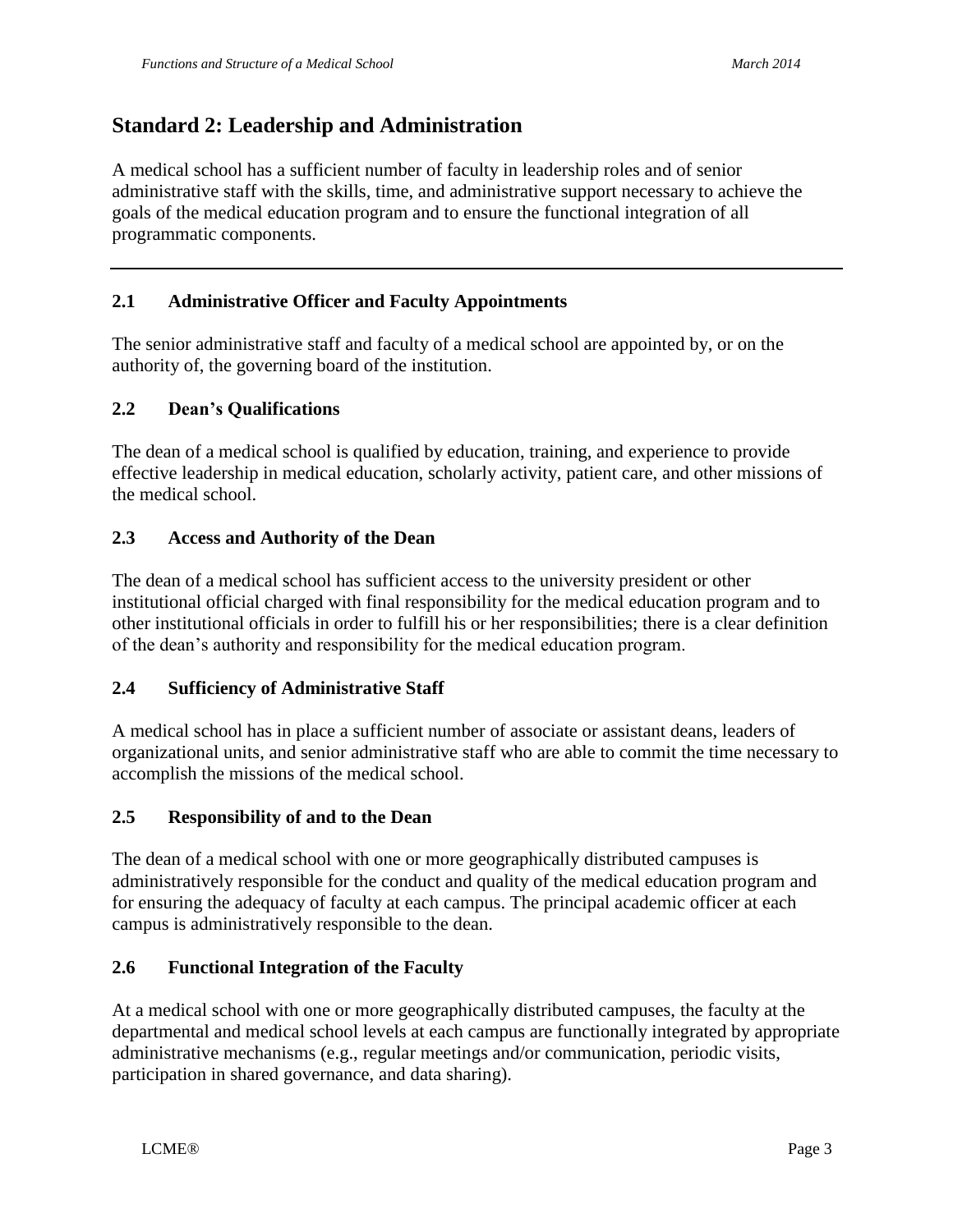# **Standard 2: Leadership and Administration**

A medical school has a sufficient number of faculty in leadership roles and of senior administrative staff with the skills, time, and administrative support necessary to achieve the goals of the medical education program and to ensure the functional integration of all programmatic components.

## **2.1 Administrative Officer and Faculty Appointments**

The senior administrative staff and faculty of a medical school are appointed by, or on the authority of, the governing board of the institution.

## **2.2 Dean's Qualifications**

The dean of a medical school is qualified by education, training, and experience to provide effective leadership in medical education, scholarly activity, patient care, and other missions of the medical school.

## **2.3 Access and Authority of the Dean**

The dean of a medical school has sufficient access to the university president or other institutional official charged with final responsibility for the medical education program and to other institutional officials in order to fulfill his or her responsibilities; there is a clear definition of the dean's authority and responsibility for the medical education program.

## **2.4 Sufficiency of Administrative Staff**

A medical school has in place a sufficient number of associate or assistant deans, leaders of organizational units, and senior administrative staff who are able to commit the time necessary to accomplish the missions of the medical school.

## **2.5 Responsibility of and to the Dean**

The dean of a medical school with one or more geographically distributed campuses is administratively responsible for the conduct and quality of the medical education program and for ensuring the adequacy of faculty at each campus. The principal academic officer at each campus is administratively responsible to the dean.

## **2.6 Functional Integration of the Faculty**

At a medical school with one or more geographically distributed campuses, the faculty at the departmental and medical school levels at each campus are functionally integrated by appropriate administrative mechanisms (e.g., regular meetings and/or communication, periodic visits, participation in shared governance, and data sharing).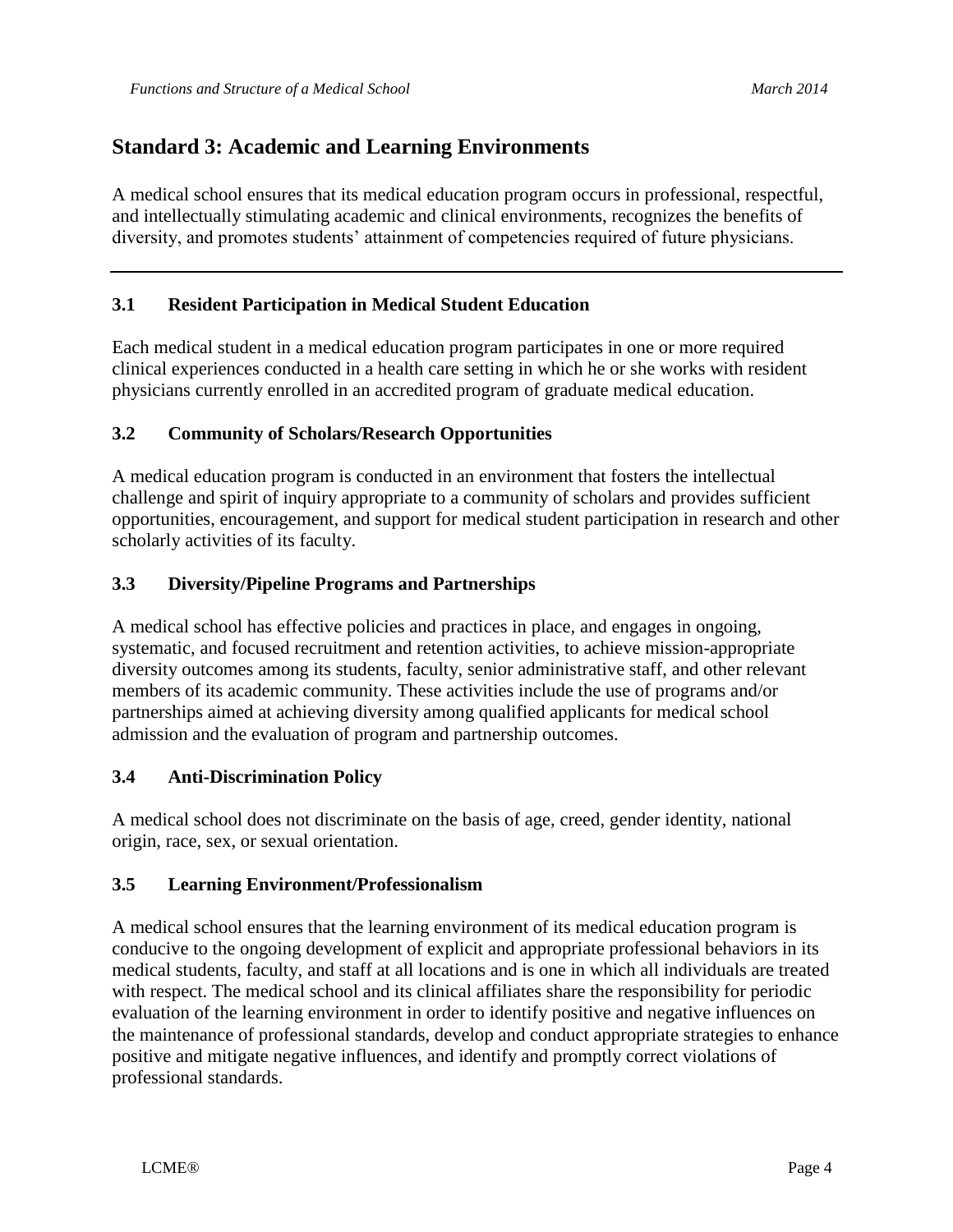# **Standard 3: Academic and Learning Environments**

A medical school ensures that its medical education program occurs in professional, respectful, and intellectually stimulating academic and clinical environments, recognizes the benefits of diversity, and promotes students' attainment of competencies required of future physicians.

## **3.1 Resident Participation in Medical Student Education**

Each medical student in a medical education program participates in one or more required clinical experiences conducted in a health care setting in which he or she works with resident physicians currently enrolled in an accredited program of graduate medical education.

## **3.2 Community of Scholars/Research Opportunities**

A medical education program is conducted in an environment that fosters the intellectual challenge and spirit of inquiry appropriate to a community of scholars and provides sufficient opportunities, encouragement, and support for medical student participation in research and other scholarly activities of its faculty.

## **3.3 Diversity/Pipeline Programs and Partnerships**

A medical school has effective policies and practices in place, and engages in ongoing, systematic, and focused recruitment and retention activities, to achieve mission-appropriate diversity outcomes among its students, faculty, senior administrative staff, and other relevant members of its academic community. These activities include the use of programs and/or partnerships aimed at achieving diversity among qualified applicants for medical school admission and the evaluation of program and partnership outcomes.

## **3.4 Anti-Discrimination Policy**

A medical school does not discriminate on the basis of age, creed, gender identity, national origin, race, sex, or sexual orientation.

## **3.5 Learning Environment/Professionalism**

A medical school ensures that the learning environment of its medical education program is conducive to the ongoing development of explicit and appropriate professional behaviors in its medical students, faculty, and staff at all locations and is one in which all individuals are treated with respect. The medical school and its clinical affiliates share the responsibility for periodic evaluation of the learning environment in order to identify positive and negative influences on the maintenance of professional standards, develop and conduct appropriate strategies to enhance positive and mitigate negative influences, and identify and promptly correct violations of professional standards.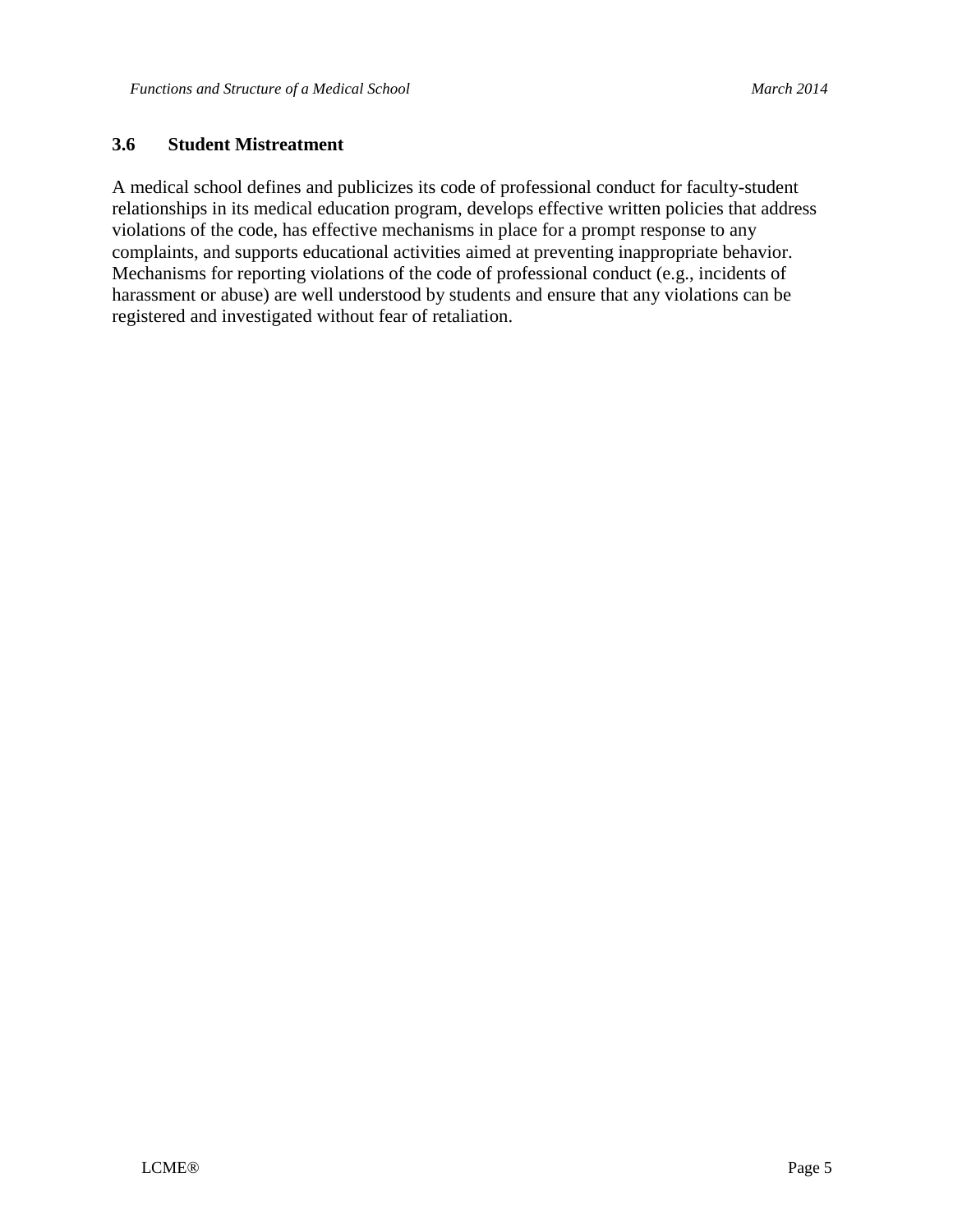#### **3.6 Student Mistreatment**

A medical school defines and publicizes its code of professional conduct for faculty-student relationships in its medical education program, develops effective written policies that address violations of the code, has effective mechanisms in place for a prompt response to any complaints, and supports educational activities aimed at preventing inappropriate behavior. Mechanisms for reporting violations of the code of professional conduct (e.g., incidents of harassment or abuse) are well understood by students and ensure that any violations can be registered and investigated without fear of retaliation.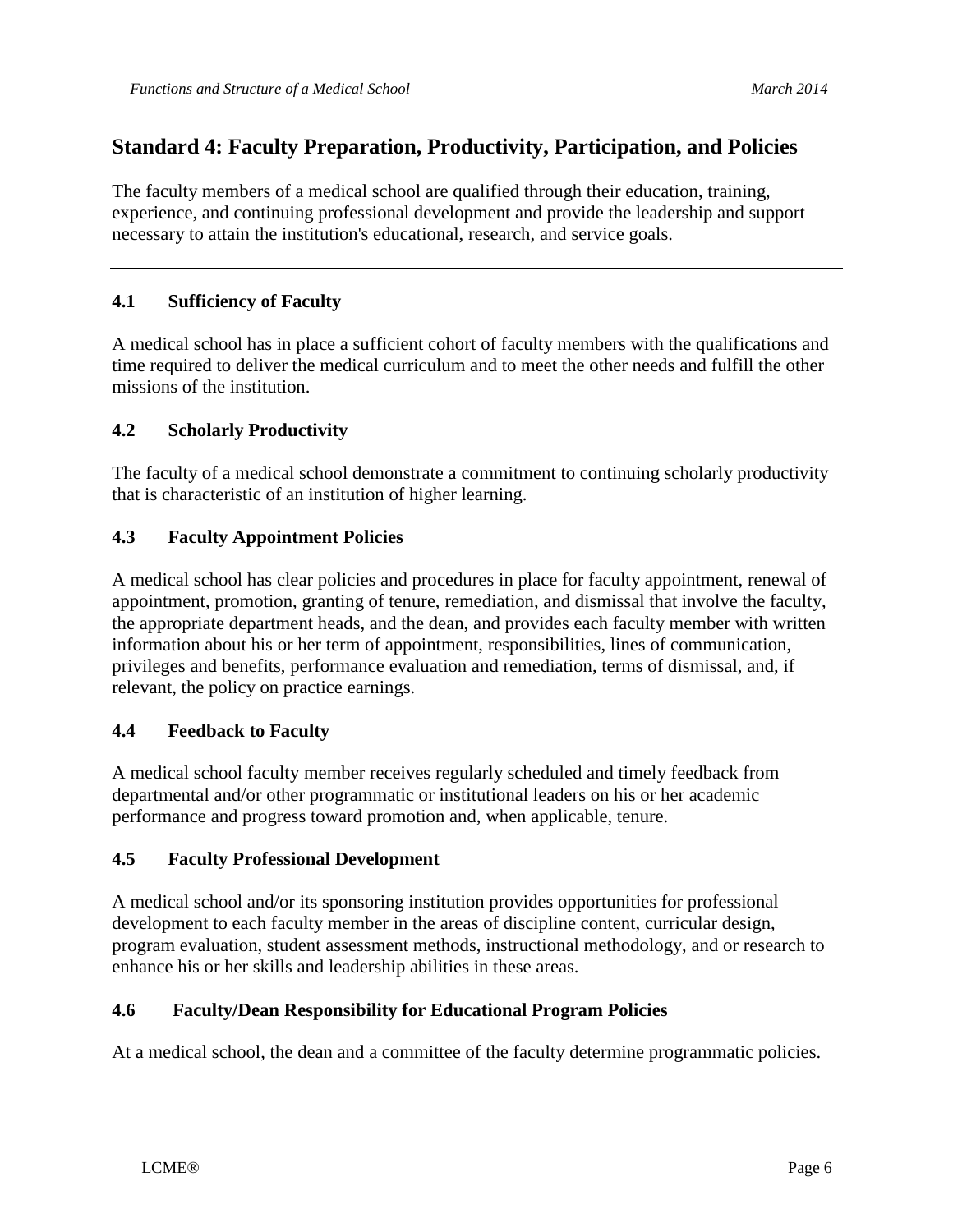## **Standard 4: Faculty Preparation, Productivity, Participation, and Policies**

The faculty members of a medical school are qualified through their education, training, experience, and continuing professional development and provide the leadership and support necessary to attain the institution's educational, research, and service goals.

## **4.1 Sufficiency of Faculty**

A medical school has in place a sufficient cohort of faculty members with the qualifications and time required to deliver the medical curriculum and to meet the other needs and fulfill the other missions of the institution.

## **4.2 Scholarly Productivity**

The faculty of a medical school demonstrate a commitment to continuing scholarly productivity that is characteristic of an institution of higher learning.

## **4.3 Faculty Appointment Policies**

A medical school has clear policies and procedures in place for faculty appointment, renewal of appointment, promotion, granting of tenure, remediation, and dismissal that involve the faculty, the appropriate department heads, and the dean, and provides each faculty member with written information about his or her term of appointment, responsibilities, lines of communication, privileges and benefits, performance evaluation and remediation, terms of dismissal, and, if relevant, the policy on practice earnings.

## **4.4 Feedback to Faculty**

A medical school faculty member receives regularly scheduled and timely feedback from departmental and/or other programmatic or institutional leaders on his or her academic performance and progress toward promotion and, when applicable, tenure.

## **4.5 Faculty Professional Development**

A medical school and/or its sponsoring institution provides opportunities for professional development to each faculty member in the areas of discipline content, curricular design, program evaluation, student assessment methods, instructional methodology, and or research to enhance his or her skills and leadership abilities in these areas.

## **4.6 Faculty/Dean Responsibility for Educational Program Policies**

At a medical school, the dean and a committee of the faculty determine programmatic policies.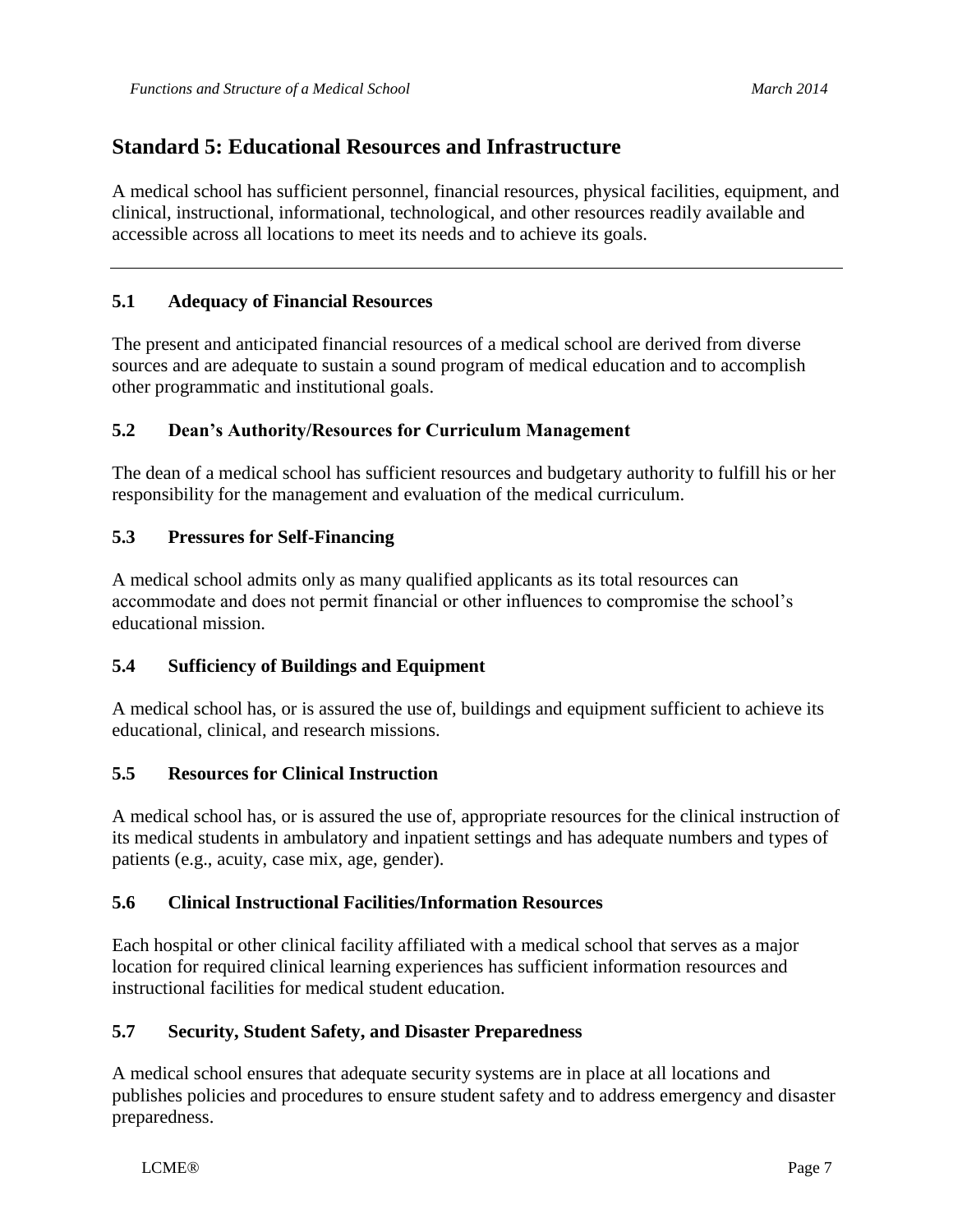A medical school has sufficient personnel, financial resources, physical facilities, equipment, and clinical, instructional, informational, technological, and other resources readily available and accessible across all locations to meet its needs and to achieve its goals.

## **5.1 Adequacy of Financial Resources**

The present and anticipated financial resources of a medical school are derived from diverse sources and are adequate to sustain a sound program of medical education and to accomplish other programmatic and institutional goals.

## **5.2 Dean's Authority/Resources for Curriculum Management**

The dean of a medical school has sufficient resources and budgetary authority to fulfill his or her responsibility for the management and evaluation of the medical curriculum.

## **5.3 Pressures for Self-Financing**

A medical school admits only as many qualified applicants as its total resources can accommodate and does not permit financial or other influences to compromise the school's educational mission.

## **5.4 Sufficiency of Buildings and Equipment**

A medical school has, or is assured the use of, buildings and equipment sufficient to achieve its educational, clinical, and research missions.

## **5.5 Resources for Clinical Instruction**

A medical school has, or is assured the use of, appropriate resources for the clinical instruction of its medical students in ambulatory and inpatient settings and has adequate numbers and types of patients (e.g., acuity, case mix, age, gender).

## **5.6 Clinical Instructional Facilities/Information Resources**

Each hospital or other clinical facility affiliated with a medical school that serves as a major location for required clinical learning experiences has sufficient information resources and instructional facilities for medical student education.

## **5.7 Security, Student Safety, and Disaster Preparedness**

A medical school ensures that adequate security systems are in place at all locations and publishes policies and procedures to ensure student safety and to address emergency and disaster preparedness.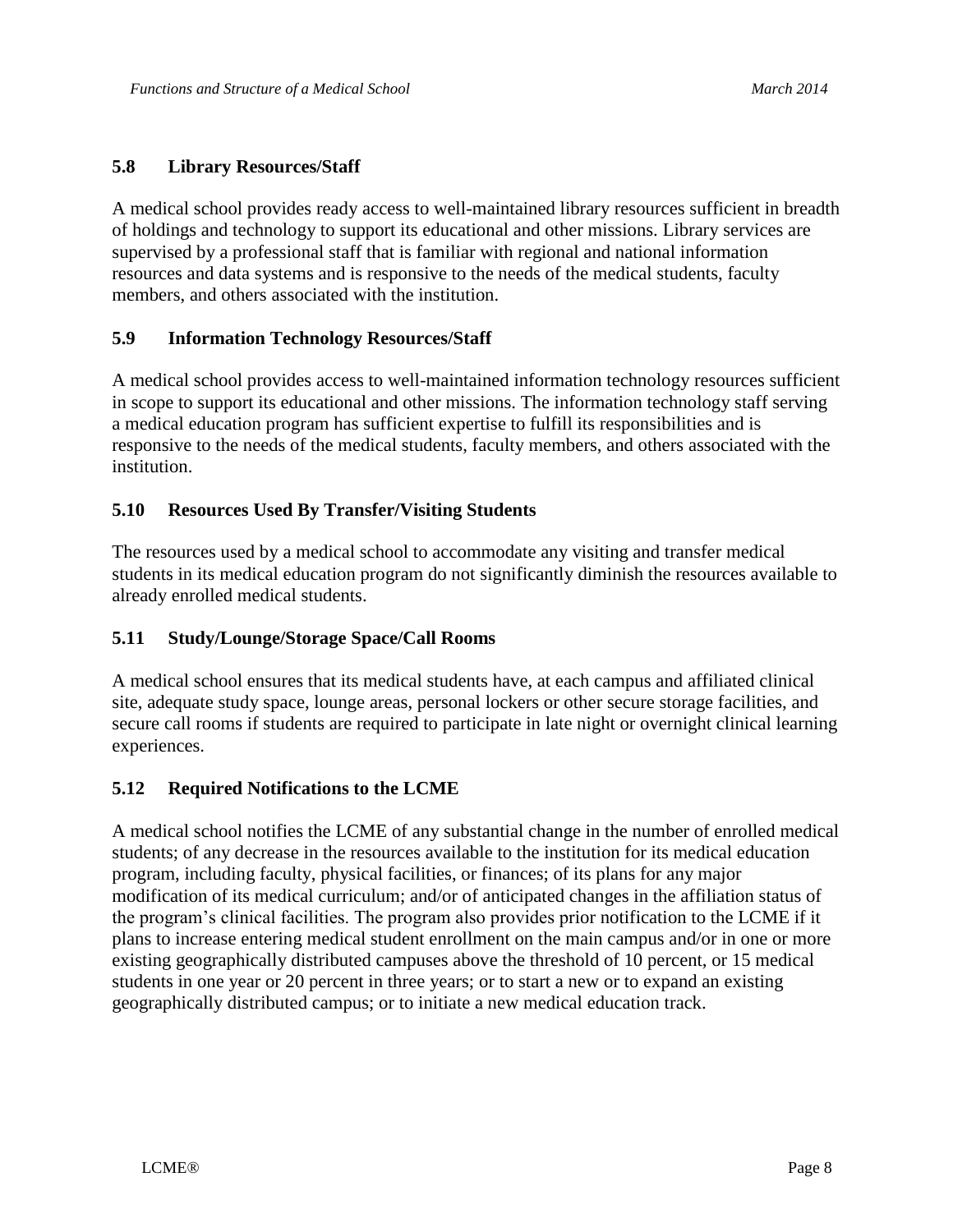## **5.8 Library Resources/Staff**

A medical school provides ready access to well-maintained library resources sufficient in breadth of holdings and technology to support its educational and other missions. Library services are supervised by a professional staff that is familiar with regional and national information resources and data systems and is responsive to the needs of the medical students, faculty members, and others associated with the institution.

## **5.9 Information Technology Resources/Staff**

A medical school provides access to well-maintained information technology resources sufficient in scope to support its educational and other missions. The information technology staff serving a medical education program has sufficient expertise to fulfill its responsibilities and is responsive to the needs of the medical students, faculty members, and others associated with the institution.

## **5.10 Resources Used By Transfer/Visiting Students**

The resources used by a medical school to accommodate any visiting and transfer medical students in its medical education program do not significantly diminish the resources available to already enrolled medical students.

## **5.11 Study/Lounge/Storage Space/Call Rooms**

A medical school ensures that its medical students have, at each campus and affiliated clinical site, adequate study space, lounge areas, personal lockers or other secure storage facilities, and secure call rooms if students are required to participate in late night or overnight clinical learning experiences.

## **5.12 Required Notifications to the LCME**

A medical school notifies the LCME of any substantial change in the number of enrolled medical students; of any decrease in the resources available to the institution for its medical education program, including faculty, physical facilities, or finances; of its plans for any major modification of its medical curriculum; and/or of anticipated changes in the affiliation status of the program's clinical facilities. The program also provides prior notification to the LCME if it plans to increase entering medical student enrollment on the main campus and/or in one or more existing geographically distributed campuses above the threshold of 10 percent, or 15 medical students in one year or 20 percent in three years; or to start a new or to expand an existing geographically distributed campus; or to initiate a new medical education track.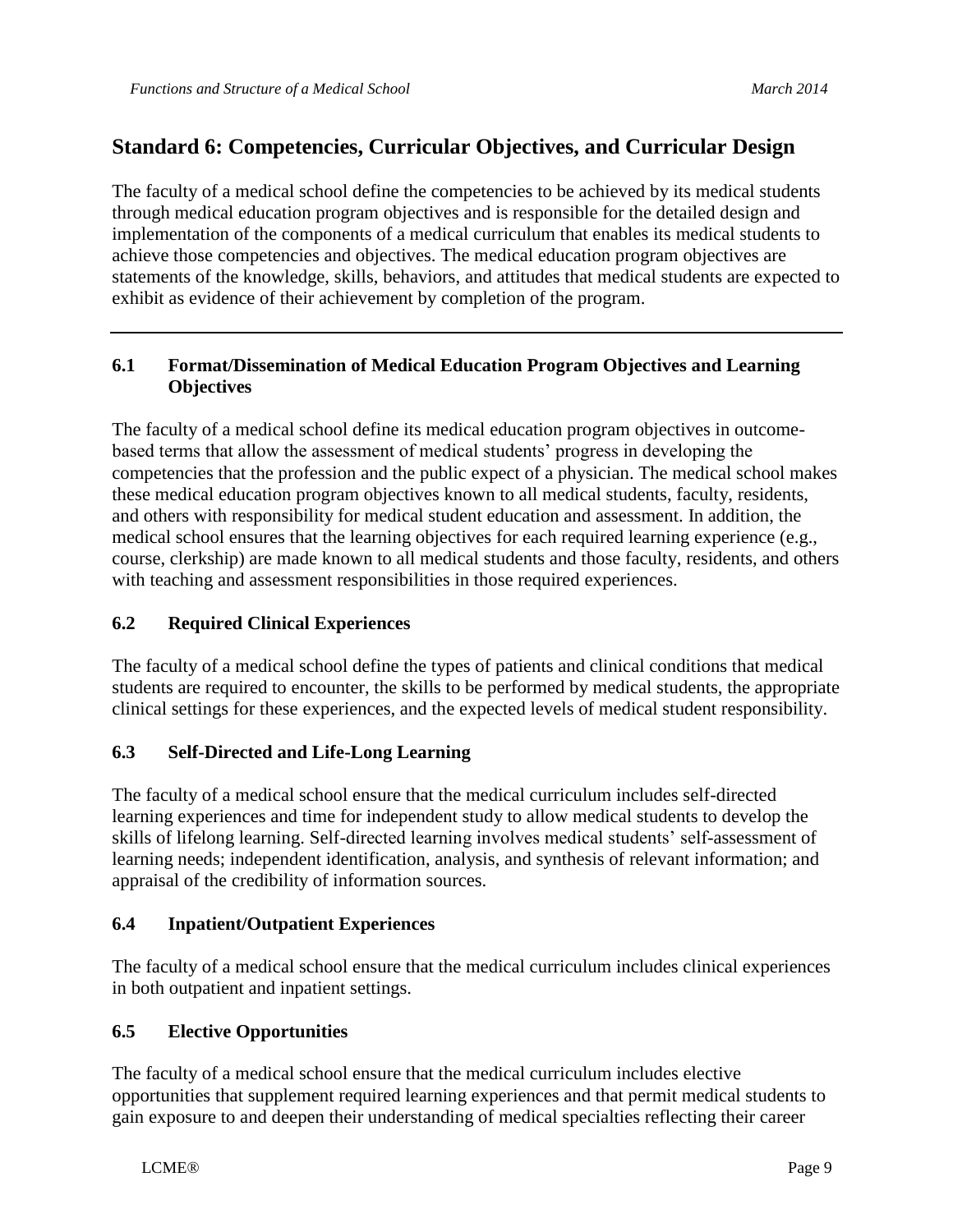## **Standard 6: Competencies, Curricular Objectives, and Curricular Design**

The faculty of a medical school define the competencies to be achieved by its medical students through medical education program objectives and is responsible for the detailed design and implementation of the components of a medical curriculum that enables its medical students to achieve those competencies and objectives. The medical education program objectives are statements of the knowledge, skills, behaviors, and attitudes that medical students are expected to exhibit as evidence of their achievement by completion of the program.

## **6.1 Format/Dissemination of Medical Education Program Objectives and Learning Objectives**

The faculty of a medical school define its medical education program objectives in outcomebased terms that allow the assessment of medical students' progress in developing the competencies that the profession and the public expect of a physician. The medical school makes these medical education program objectives known to all medical students, faculty, residents, and others with responsibility for medical student education and assessment. In addition, the medical school ensures that the learning objectives for each required learning experience (e.g., course, clerkship) are made known to all medical students and those faculty, residents, and others with teaching and assessment responsibilities in those required experiences.

## **6.2 Required Clinical Experiences**

The faculty of a medical school define the types of patients and clinical conditions that medical students are required to encounter, the skills to be performed by medical students, the appropriate clinical settings for these experiences, and the expected levels of medical student responsibility.

## **6.3 Self-Directed and Life-Long Learning**

The faculty of a medical school ensure that the medical curriculum includes self-directed learning experiences and time for independent study to allow medical students to develop the skills of lifelong learning. Self-directed learning involves medical students' self-assessment of learning needs; independent identification, analysis, and synthesis of relevant information; and appraisal of the credibility of information sources.

## **6.4 Inpatient/Outpatient Experiences**

The faculty of a medical school ensure that the medical curriculum includes clinical experiences in both outpatient and inpatient settings.

## **6.5 Elective Opportunities**

The faculty of a medical school ensure that the medical curriculum includes elective opportunities that supplement required learning experiences and that permit medical students to gain exposure to and deepen their understanding of medical specialties reflecting their career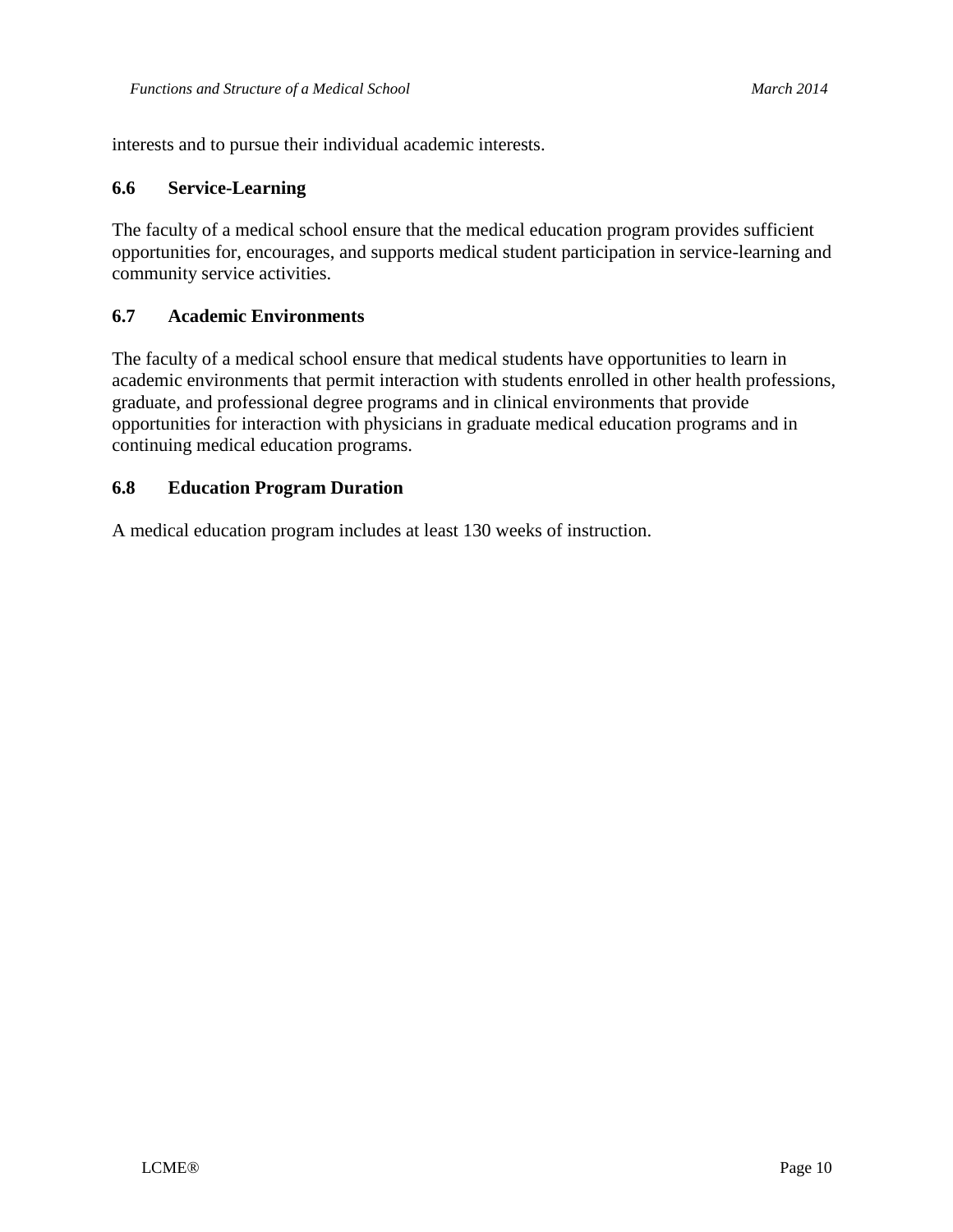interests and to pursue their individual academic interests.

#### **6.6 Service-Learning**

The faculty of a medical school ensure that the medical education program provides sufficient opportunities for, encourages, and supports medical student participation in service-learning and community service activities.

#### **6.7 Academic Environments**

The faculty of a medical school ensure that medical students have opportunities to learn in academic environments that permit interaction with students enrolled in other health professions, graduate, and professional degree programs and in clinical environments that provide opportunities for interaction with physicians in graduate medical education programs and in continuing medical education programs.

#### **6.8 Education Program Duration**

A medical education program includes at least 130 weeks of instruction.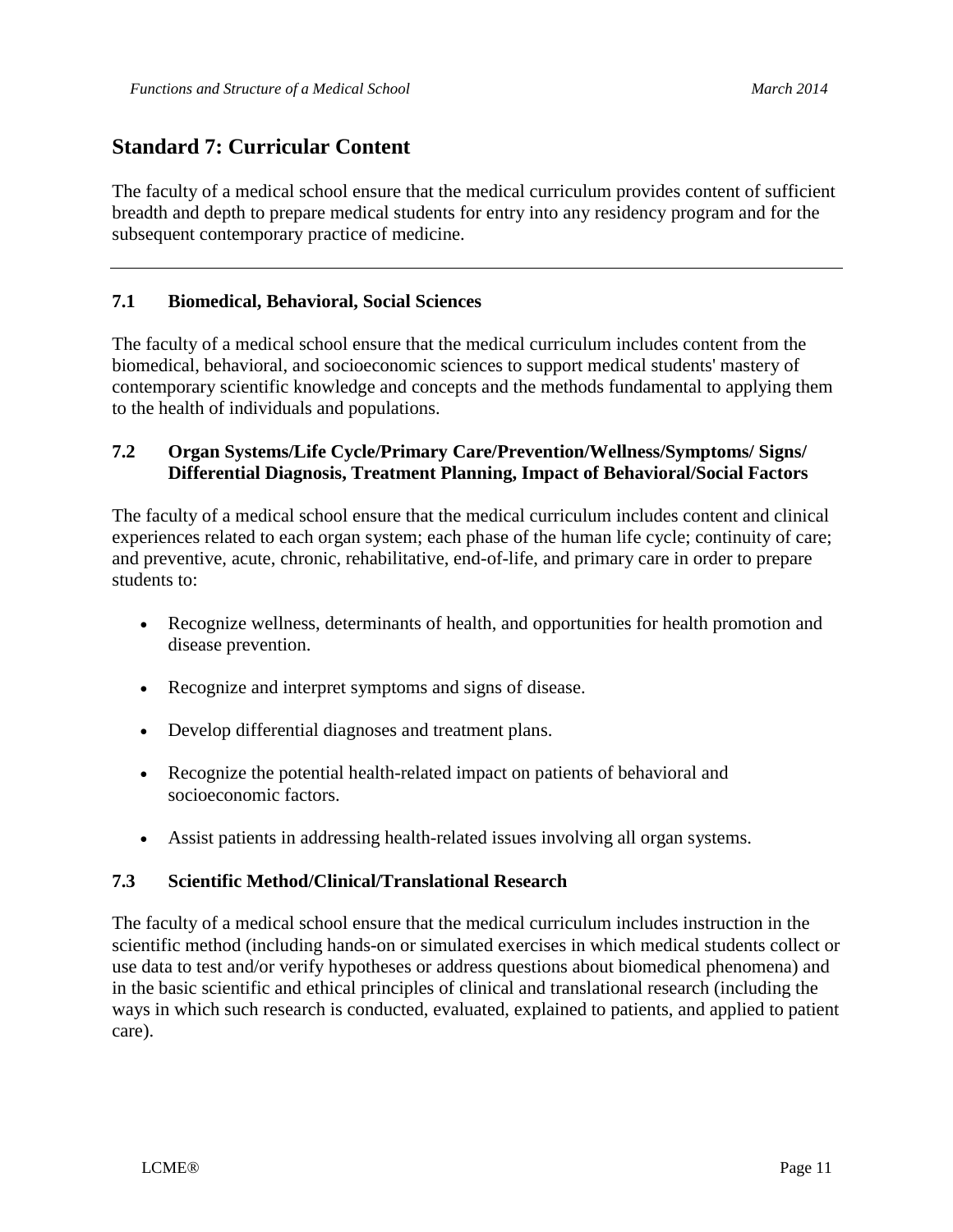## **Standard 7: Curricular Content**

The faculty of a medical school ensure that the medical curriculum provides content of sufficient breadth and depth to prepare medical students for entry into any residency program and for the subsequent contemporary practice of medicine.

## **7.1 Biomedical, Behavioral, Social Sciences**

The faculty of a medical school ensure that the medical curriculum includes content from the biomedical, behavioral, and socioeconomic sciences to support medical students' mastery of contemporary scientific knowledge and concepts and the methods fundamental to applying them to the health of individuals and populations.

## **7.2 Organ Systems/Life Cycle/Primary Care/Prevention/Wellness/Symptoms/ Signs/ Differential Diagnosis, Treatment Planning, Impact of Behavioral/Social Factors**

The faculty of a medical school ensure that the medical curriculum includes content and clinical experiences related to each organ system; each phase of the human life cycle; continuity of care; and preventive, acute, chronic, rehabilitative, end-of-life, and primary care in order to prepare students to:

- Recognize wellness, determinants of health, and opportunities for health promotion and disease prevention.
- Recognize and interpret symptoms and signs of disease.
- Develop differential diagnoses and treatment plans.
- Recognize the potential health-related impact on patients of behavioral and socioeconomic factors.
- Assist patients in addressing health-related issues involving all organ systems.

## **7.3 Scientific Method/Clinical/Translational Research**

The faculty of a medical school ensure that the medical curriculum includes instruction in the scientific method (including hands-on or simulated exercises in which medical students collect or use data to test and/or verify hypotheses or address questions about biomedical phenomena) and in the basic scientific and ethical principles of clinical and translational research (including the ways in which such research is conducted, evaluated, explained to patients, and applied to patient care).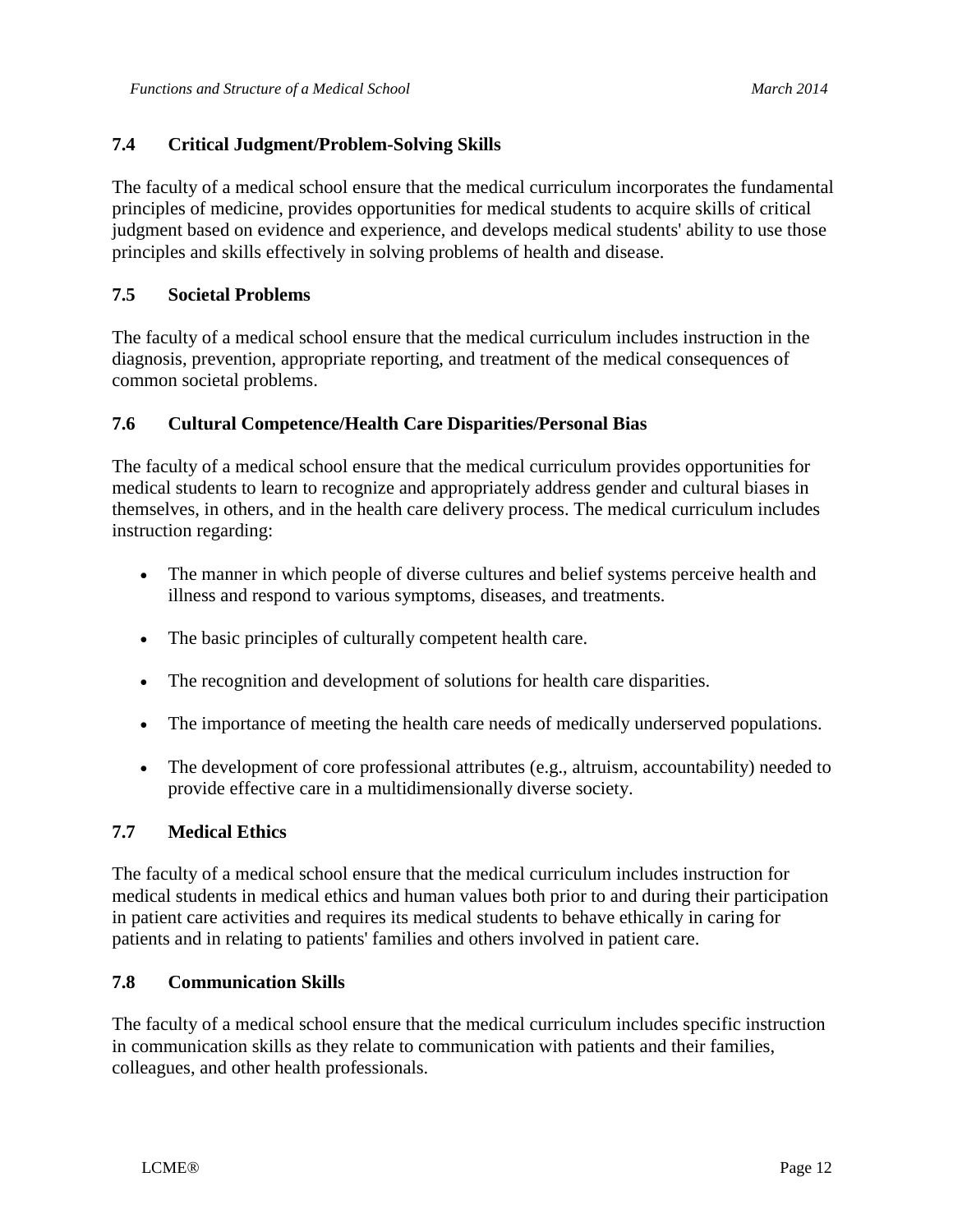## **7.4 Critical Judgment/Problem-Solving Skills**

The faculty of a medical school ensure that the medical curriculum incorporates the fundamental principles of medicine, provides opportunities for medical students to acquire skills of critical judgment based on evidence and experience, and develops medical students' ability to use those principles and skills effectively in solving problems of health and disease.

### **7.5 Societal Problems**

The faculty of a medical school ensure that the medical curriculum includes instruction in the diagnosis, prevention, appropriate reporting, and treatment of the medical consequences of common societal problems.

#### **7.6 Cultural Competence/Health Care Disparities/Personal Bias**

The faculty of a medical school ensure that the medical curriculum provides opportunities for medical students to learn to recognize and appropriately address gender and cultural biases in themselves, in others, and in the health care delivery process. The medical curriculum includes instruction regarding:

- The manner in which people of diverse cultures and belief systems perceive health and illness and respond to various symptoms, diseases, and treatments.
- The basic principles of culturally competent health care.
- The recognition and development of solutions for health care disparities.
- The importance of meeting the health care needs of medically underserved populations.
- The development of core professional attributes (e.g., altruism, accountability) needed to provide effective care in a multidimensionally diverse society.

#### **7.7 Medical Ethics**

The faculty of a medical school ensure that the medical curriculum includes instruction for medical students in medical ethics and human values both prior to and during their participation in patient care activities and requires its medical students to behave ethically in caring for patients and in relating to patients' families and others involved in patient care.

#### **7.8 Communication Skills**

The faculty of a medical school ensure that the medical curriculum includes specific instruction in communication skills as they relate to communication with patients and their families, colleagues, and other health professionals.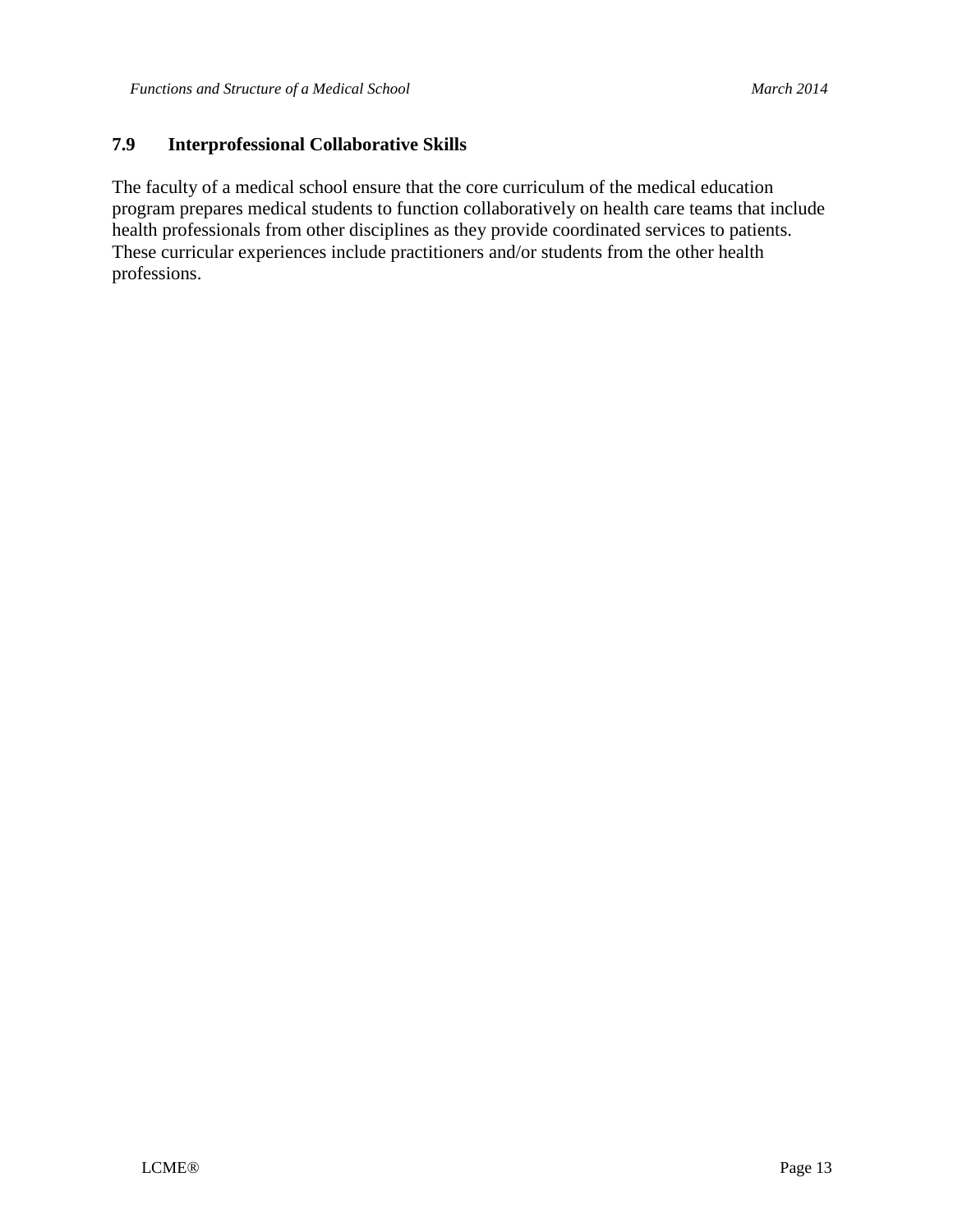## **7.9 Interprofessional Collaborative Skills**

The faculty of a medical school ensure that the core curriculum of the medical education program prepares medical students to function collaboratively on health care teams that include health professionals from other disciplines as they provide coordinated services to patients. These curricular experiences include practitioners and/or students from the other health professions.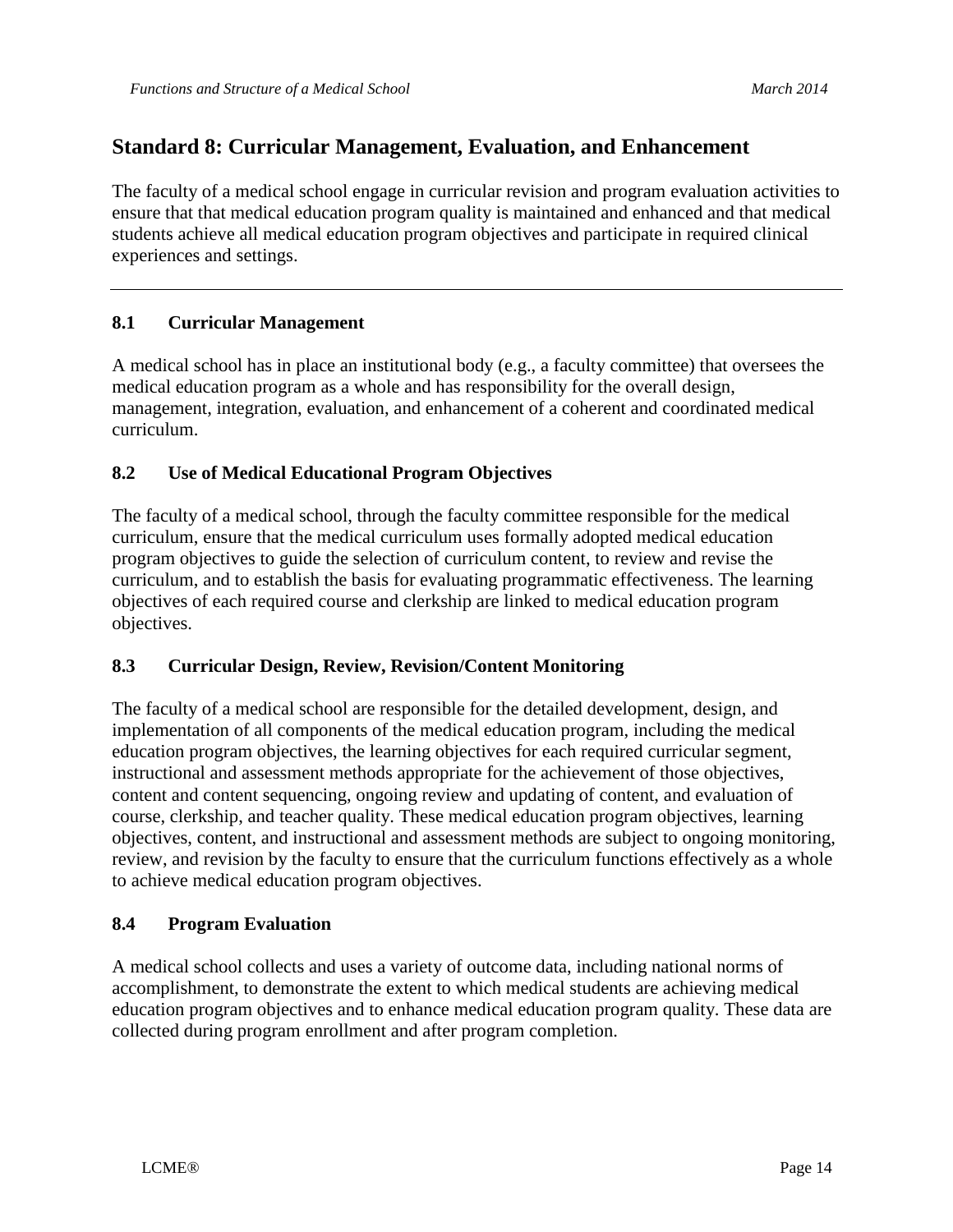## **Standard 8: Curricular Management, Evaluation, and Enhancement**

The faculty of a medical school engage in curricular revision and program evaluation activities to ensure that that medical education program quality is maintained and enhanced and that medical students achieve all medical education program objectives and participate in required clinical experiences and settings.

## **8.1 Curricular Management**

A medical school has in place an institutional body (e.g., a faculty committee) that oversees the medical education program as a whole and has responsibility for the overall design, management, integration, evaluation, and enhancement of a coherent and coordinated medical curriculum.

## **8.2 Use of Medical Educational Program Objectives**

The faculty of a medical school, through the faculty committee responsible for the medical curriculum, ensure that the medical curriculum uses formally adopted medical education program objectives to guide the selection of curriculum content, to review and revise the curriculum, and to establish the basis for evaluating programmatic effectiveness. The learning objectives of each required course and clerkship are linked to medical education program objectives.

## **8.3 Curricular Design, Review, Revision/Content Monitoring**

The faculty of a medical school are responsible for the detailed development, design, and implementation of all components of the medical education program, including the medical education program objectives, the learning objectives for each required curricular segment, instructional and assessment methods appropriate for the achievement of those objectives, content and content sequencing, ongoing review and updating of content, and evaluation of course, clerkship, and teacher quality. These medical education program objectives, learning objectives, content, and instructional and assessment methods are subject to ongoing monitoring, review, and revision by the faculty to ensure that the curriculum functions effectively as a whole to achieve medical education program objectives.

## **8.4 Program Evaluation**

A medical school collects and uses a variety of outcome data, including national norms of accomplishment, to demonstrate the extent to which medical students are achieving medical education program objectives and to enhance medical education program quality. These data are collected during program enrollment and after program completion.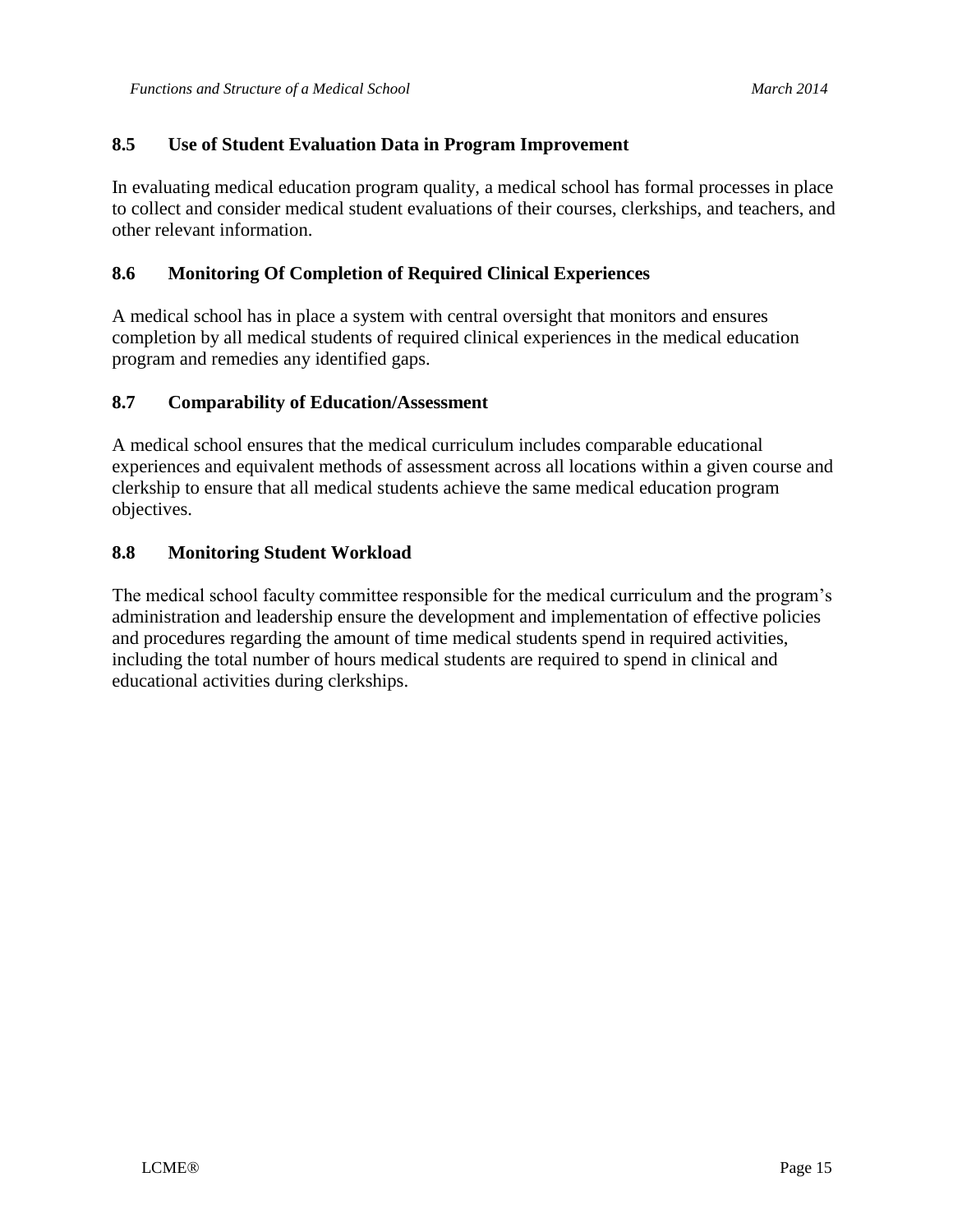### **8.5 Use of Student Evaluation Data in Program Improvement**

In evaluating medical education program quality, a medical school has formal processes in place to collect and consider medical student evaluations of their courses, clerkships, and teachers, and other relevant information.

#### **8.6 Monitoring Of Completion of Required Clinical Experiences**

A medical school has in place a system with central oversight that monitors and ensures completion by all medical students of required clinical experiences in the medical education program and remedies any identified gaps.

#### **8.7 Comparability of Education/Assessment**

A medical school ensures that the medical curriculum includes comparable educational experiences and equivalent methods of assessment across all locations within a given course and clerkship to ensure that all medical students achieve the same medical education program objectives.

#### **8.8 Monitoring Student Workload**

The medical school faculty committee responsible for the medical curriculum and the program's administration and leadership ensure the development and implementation of effective policies and procedures regarding the amount of time medical students spend in required activities, including the total number of hours medical students are required to spend in clinical and educational activities during clerkships.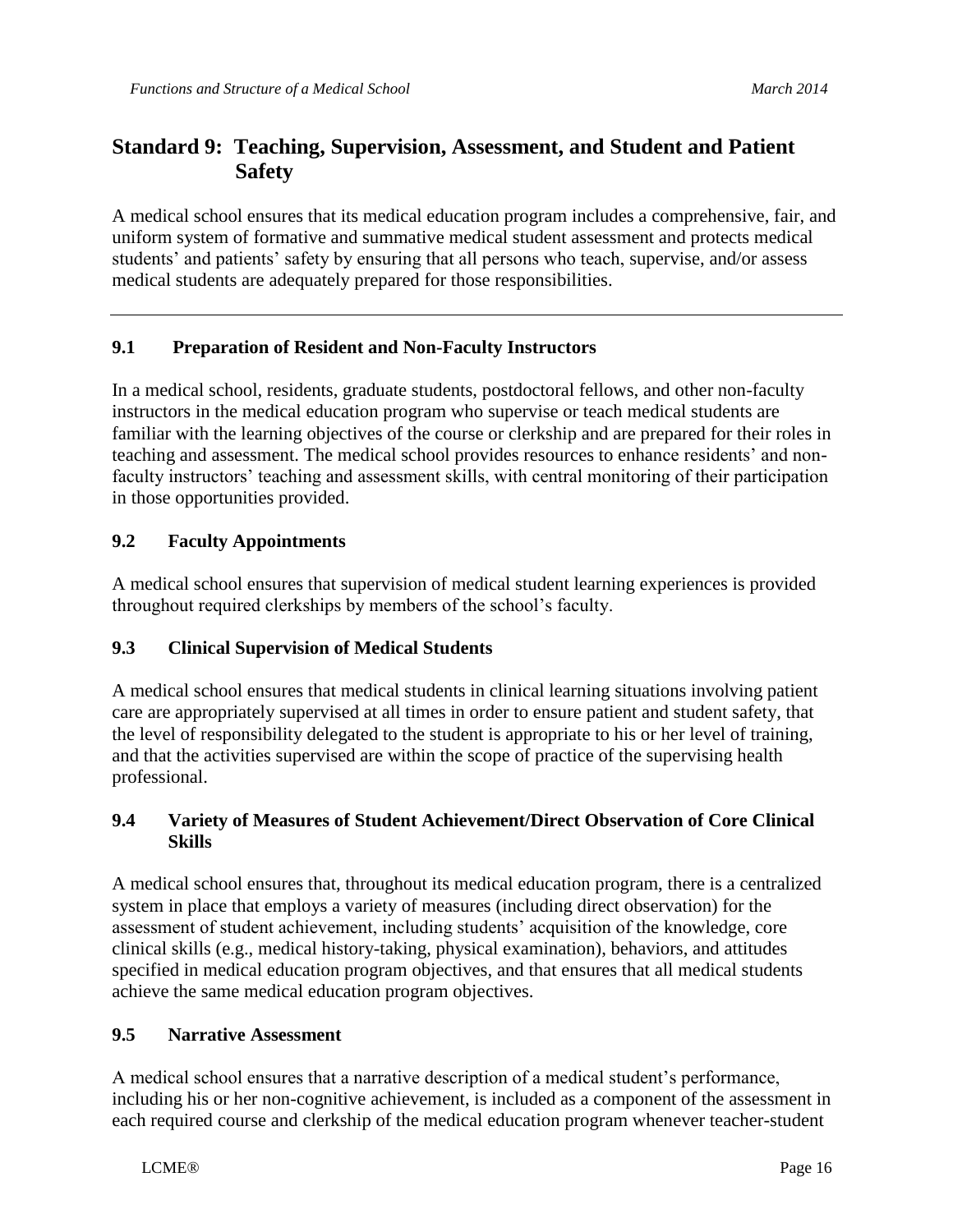## **Standard 9: Teaching, Supervision, Assessment, and Student and Patient Safety**

A medical school ensures that its medical education program includes a comprehensive, fair, and uniform system of formative and summative medical student assessment and protects medical students' and patients' safety by ensuring that all persons who teach, supervise, and/or assess medical students are adequately prepared for those responsibilities.

## **9.1 Preparation of Resident and Non-Faculty Instructors**

In a medical school, residents, graduate students, postdoctoral fellows, and other non-faculty instructors in the medical education program who supervise or teach medical students are familiar with the learning objectives of the course or clerkship and are prepared for their roles in teaching and assessment. The medical school provides resources to enhance residents' and nonfaculty instructors' teaching and assessment skills, with central monitoring of their participation in those opportunities provided.

## **9.2 Faculty Appointments**

A medical school ensures that supervision of medical student learning experiences is provided throughout required clerkships by members of the school's faculty.

## **9.3 Clinical Supervision of Medical Students**

A medical school ensures that medical students in clinical learning situations involving patient care are appropriately supervised at all times in order to ensure patient and student safety, that the level of responsibility delegated to the student is appropriate to his or her level of training, and that the activities supervised are within the scope of practice of the supervising health professional.

#### **9.4 Variety of Measures of Student Achievement/Direct Observation of Core Clinical Skills**

A medical school ensures that, throughout its medical education program, there is a centralized system in place that employs a variety of measures (including direct observation) for the assessment of student achievement, including students' acquisition of the knowledge, core clinical skills (e.g., medical history-taking, physical examination), behaviors, and attitudes specified in medical education program objectives, and that ensures that all medical students achieve the same medical education program objectives.

## **9.5 Narrative Assessment**

A medical school ensures that a narrative description of a medical student's performance, including his or her non-cognitive achievement, is included as a component of the assessment in each required course and clerkship of the medical education program whenever teacher-student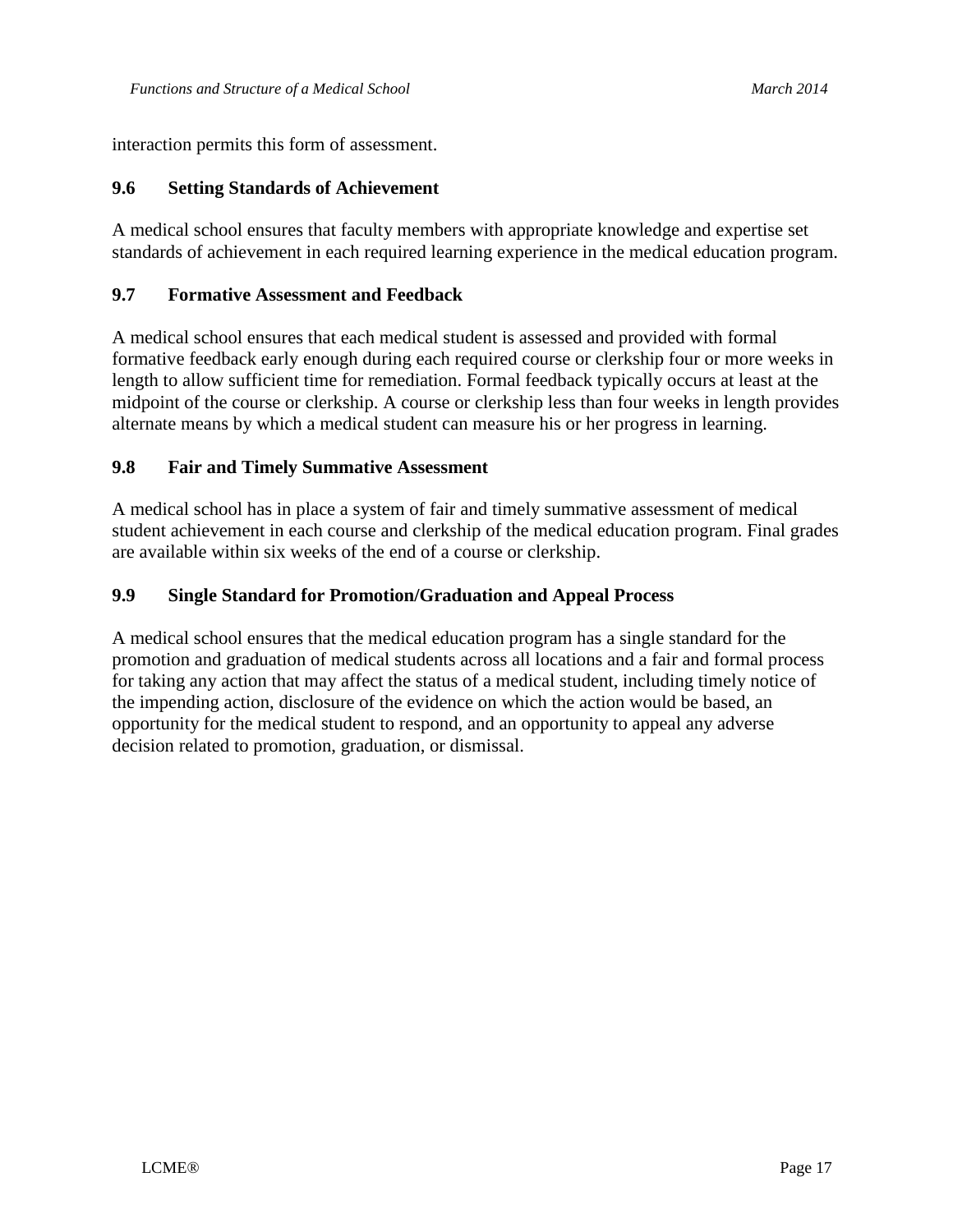interaction permits this form of assessment.

#### **9.6 Setting Standards of Achievement**

A medical school ensures that faculty members with appropriate knowledge and expertise set standards of achievement in each required learning experience in the medical education program.

#### **9.7 Formative Assessment and Feedback**

A medical school ensures that each medical student is assessed and provided with formal formative feedback early enough during each required course or clerkship four or more weeks in length to allow sufficient time for remediation. Formal feedback typically occurs at least at the midpoint of the course or clerkship. A course or clerkship less than four weeks in length provides alternate means by which a medical student can measure his or her progress in learning.

#### **9.8 Fair and Timely Summative Assessment**

A medical school has in place a system of fair and timely summative assessment of medical student achievement in each course and clerkship of the medical education program. Final grades are available within six weeks of the end of a course or clerkship.

#### **9.9 Single Standard for Promotion/Graduation and Appeal Process**

A medical school ensures that the medical education program has a single standard for the promotion and graduation of medical students across all locations and a fair and formal process for taking any action that may affect the status of a medical student, including timely notice of the impending action, disclosure of the evidence on which the action would be based, an opportunity for the medical student to respond, and an opportunity to appeal any adverse decision related to promotion, graduation, or dismissal.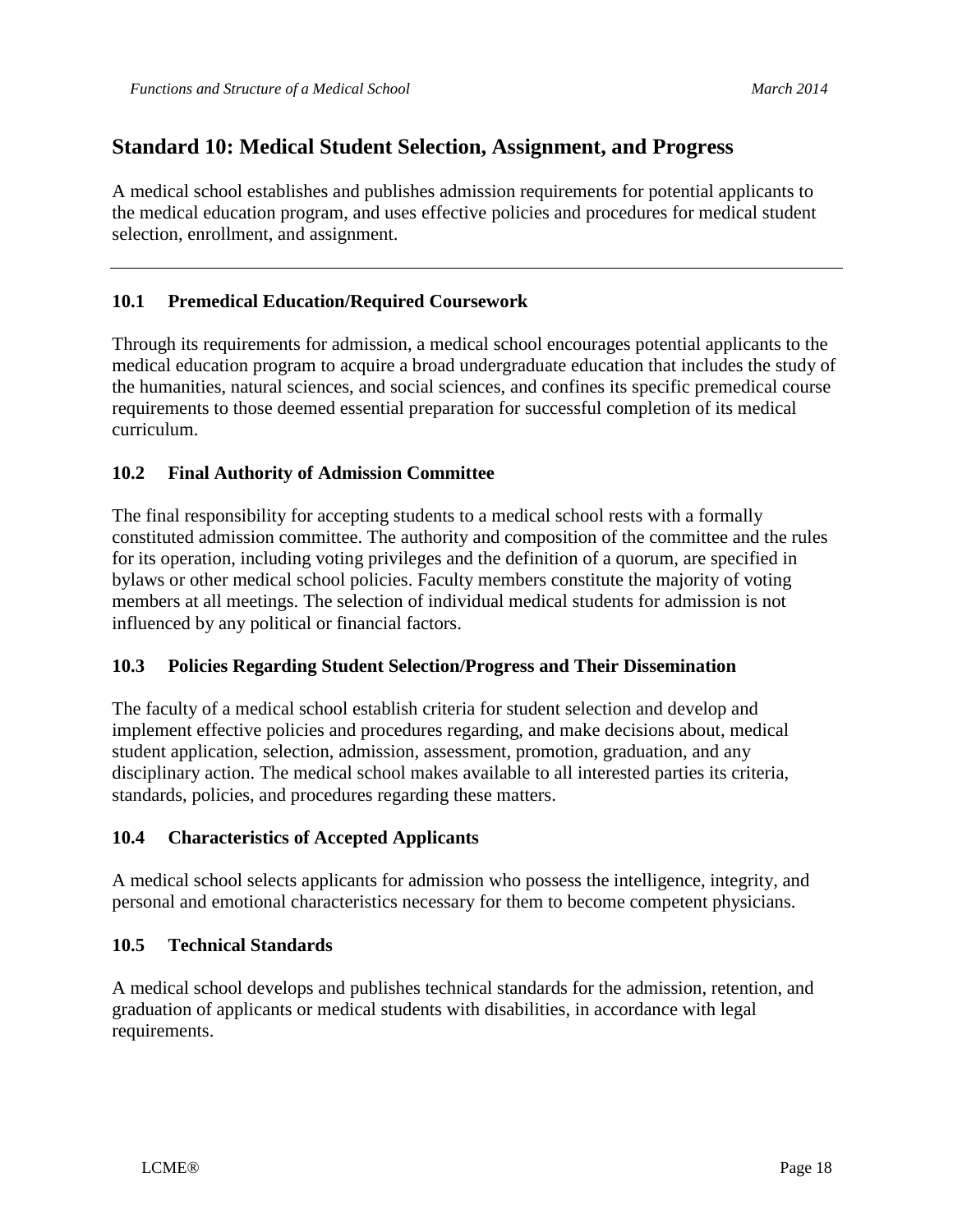## **Standard 10: Medical Student Selection, Assignment, and Progress**

A medical school establishes and publishes admission requirements for potential applicants to the medical education program, and uses effective policies and procedures for medical student selection, enrollment, and assignment.

## **10.1 Premedical Education/Required Coursework**

Through its requirements for admission, a medical school encourages potential applicants to the medical education program to acquire a broad undergraduate education that includes the study of the humanities, natural sciences, and social sciences, and confines its specific premedical course requirements to those deemed essential preparation for successful completion of its medical curriculum.

#### **10.2 Final Authority of Admission Committee**

The final responsibility for accepting students to a medical school rests with a formally constituted admission committee. The authority and composition of the committee and the rules for its operation, including voting privileges and the definition of a quorum, are specified in bylaws or other medical school policies. Faculty members constitute the majority of voting members at all meetings. The selection of individual medical students for admission is not influenced by any political or financial factors.

#### **10.3 Policies Regarding Student Selection/Progress and Their Dissemination**

The faculty of a medical school establish criteria for student selection and develop and implement effective policies and procedures regarding, and make decisions about, medical student application, selection, admission, assessment, promotion, graduation, and any disciplinary action. The medical school makes available to all interested parties its criteria, standards, policies, and procedures regarding these matters.

#### **10.4 Characteristics of Accepted Applicants**

A medical school selects applicants for admission who possess the intelligence, integrity, and personal and emotional characteristics necessary for them to become competent physicians.

#### **10.5 Technical Standards**

A medical school develops and publishes technical standards for the admission, retention, and graduation of applicants or medical students with disabilities, in accordance with legal requirements.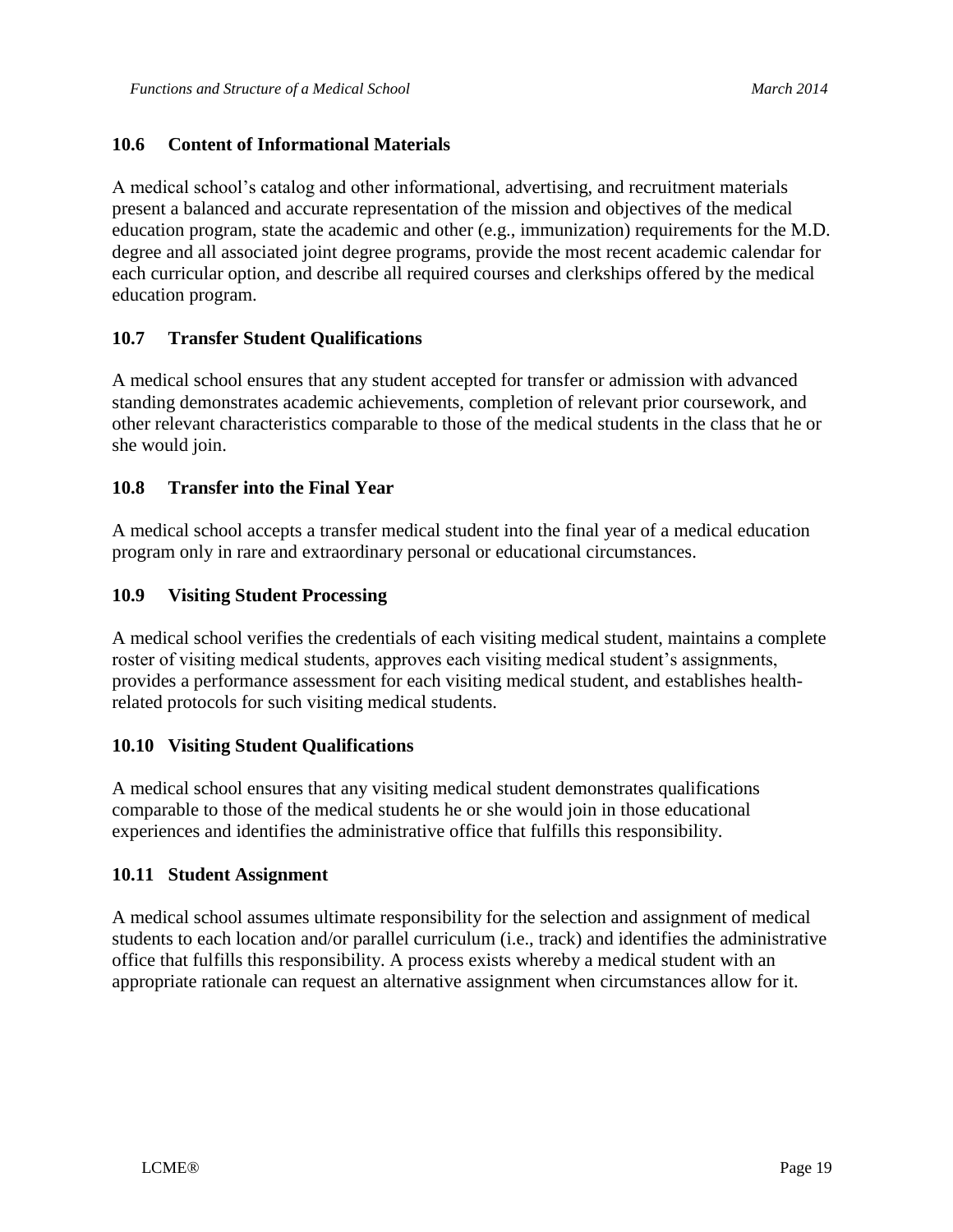### **10.6 Content of Informational Materials**

A medical school's catalog and other informational, advertising, and recruitment materials present a balanced and accurate representation of the mission and objectives of the medical education program, state the academic and other (e.g., immunization) requirements for the M.D. degree and all associated joint degree programs, provide the most recent academic calendar for each curricular option, and describe all required courses and clerkships offered by the medical education program.

## **10.7 Transfer Student Qualifications**

A medical school ensures that any student accepted for transfer or admission with advanced standing demonstrates academic achievements, completion of relevant prior coursework, and other relevant characteristics comparable to those of the medical students in the class that he or she would join.

#### **10.8 Transfer into the Final Year**

A medical school accepts a transfer medical student into the final year of a medical education program only in rare and extraordinary personal or educational circumstances.

#### **10.9 Visiting Student Processing**

A medical school verifies the credentials of each visiting medical student, maintains a complete roster of visiting medical students, approves each visiting medical student's assignments, provides a performance assessment for each visiting medical student, and establishes healthrelated protocols for such visiting medical students.

#### **10.10 Visiting Student Qualifications**

A medical school ensures that any visiting medical student demonstrates qualifications comparable to those of the medical students he or she would join in those educational experiences and identifies the administrative office that fulfills this responsibility.

#### **10.11 Student Assignment**

A medical school assumes ultimate responsibility for the selection and assignment of medical students to each location and/or parallel curriculum (i.e., track) and identifies the administrative office that fulfills this responsibility. A process exists whereby a medical student with an appropriate rationale can request an alternative assignment when circumstances allow for it.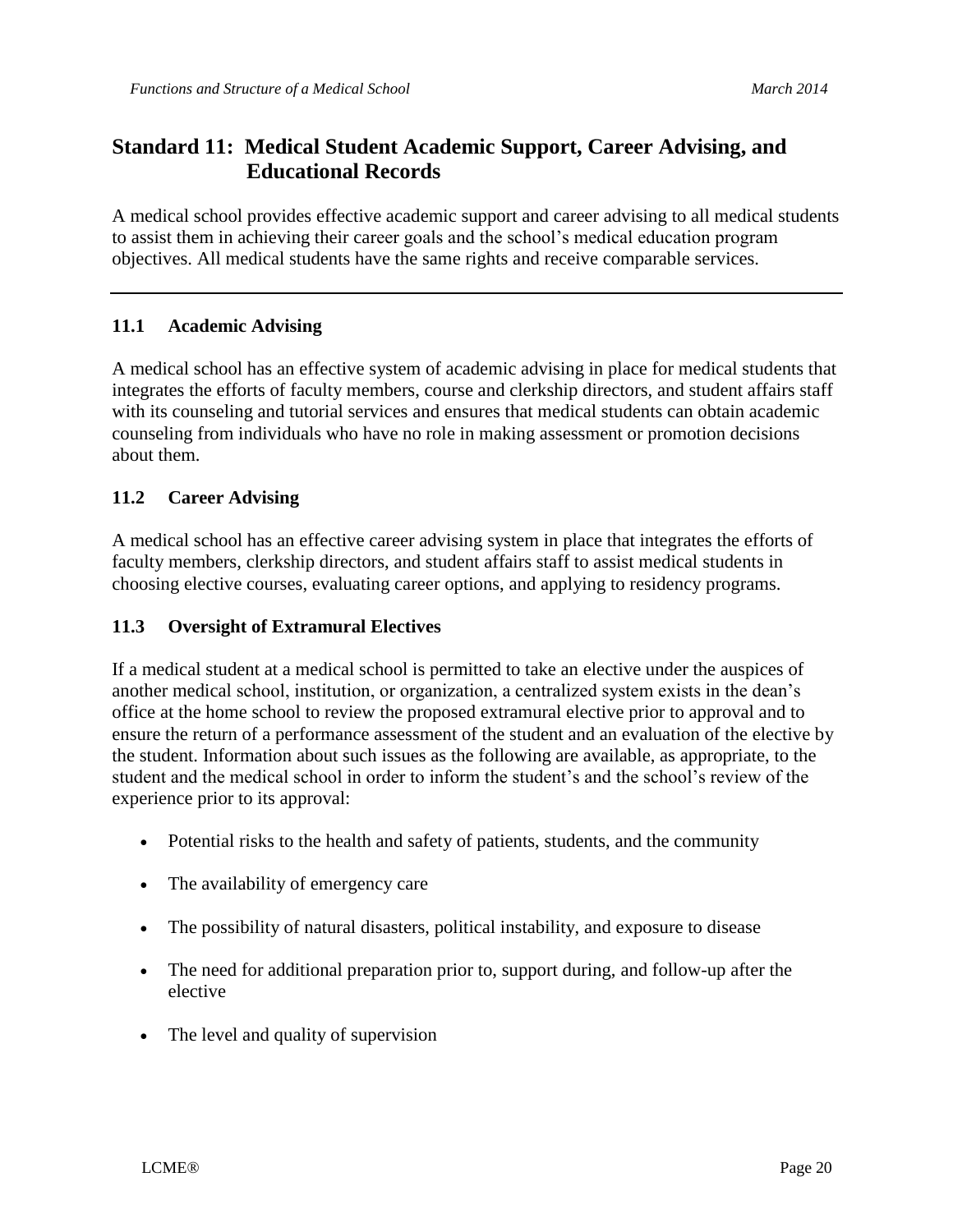## **Standard 11: Medical Student Academic Support, Career Advising, and Educational Records**

A medical school provides effective academic support and career advising to all medical students to assist them in achieving their career goals and the school's medical education program objectives. All medical students have the same rights and receive comparable services.

## **11.1 Academic Advising**

A medical school has an effective system of academic advising in place for medical students that integrates the efforts of faculty members, course and clerkship directors, and student affairs staff with its counseling and tutorial services and ensures that medical students can obtain academic counseling from individuals who have no role in making assessment or promotion decisions about them.

## **11.2 Career Advising**

A medical school has an effective career advising system in place that integrates the efforts of faculty members, clerkship directors, and student affairs staff to assist medical students in choosing elective courses, evaluating career options, and applying to residency programs.

## **11.3 Oversight of Extramural Electives**

If a medical student at a medical school is permitted to take an elective under the auspices of another medical school, institution, or organization, a centralized system exists in the dean's office at the home school to review the proposed extramural elective prior to approval and to ensure the return of a performance assessment of the student and an evaluation of the elective by the student. Information about such issues as the following are available, as appropriate, to the student and the medical school in order to inform the student's and the school's review of the experience prior to its approval:

- Potential risks to the health and safety of patients, students, and the community
- The availability of emergency care
- The possibility of natural disasters, political instability, and exposure to disease
- The need for additional preparation prior to, support during, and follow-up after the elective
- The level and quality of supervision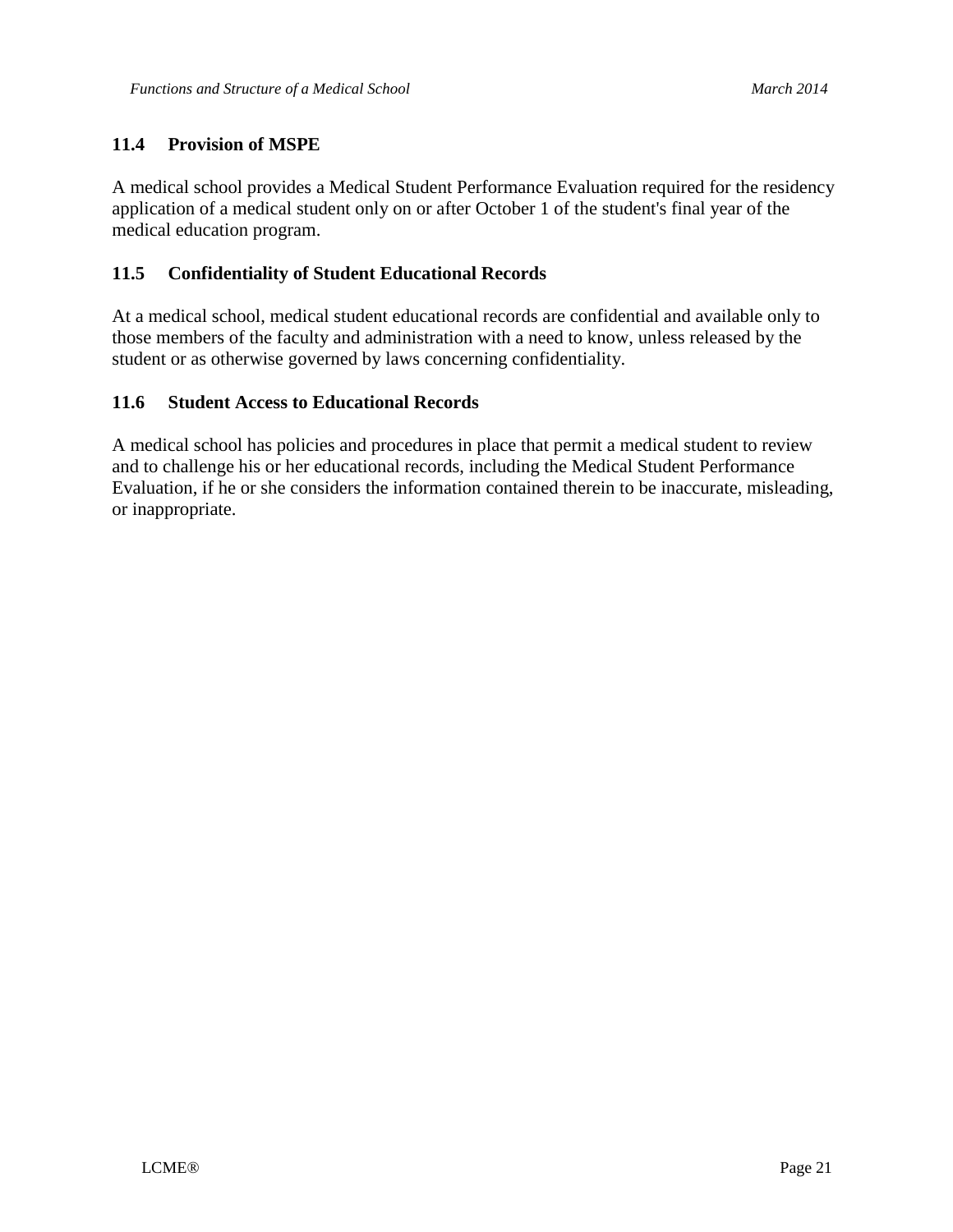## **11.4 Provision of MSPE**

A medical school provides a Medical Student Performance Evaluation required for the residency application of a medical student only on or after October 1 of the student's final year of the medical education program.

#### **11.5 Confidentiality of Student Educational Records**

At a medical school, medical student educational records are confidential and available only to those members of the faculty and administration with a need to know, unless released by the student or as otherwise governed by laws concerning confidentiality.

#### **11.6 Student Access to Educational Records**

A medical school has policies and procedures in place that permit a medical student to review and to challenge his or her educational records, including the Medical Student Performance Evaluation, if he or she considers the information contained therein to be inaccurate, misleading, or inappropriate.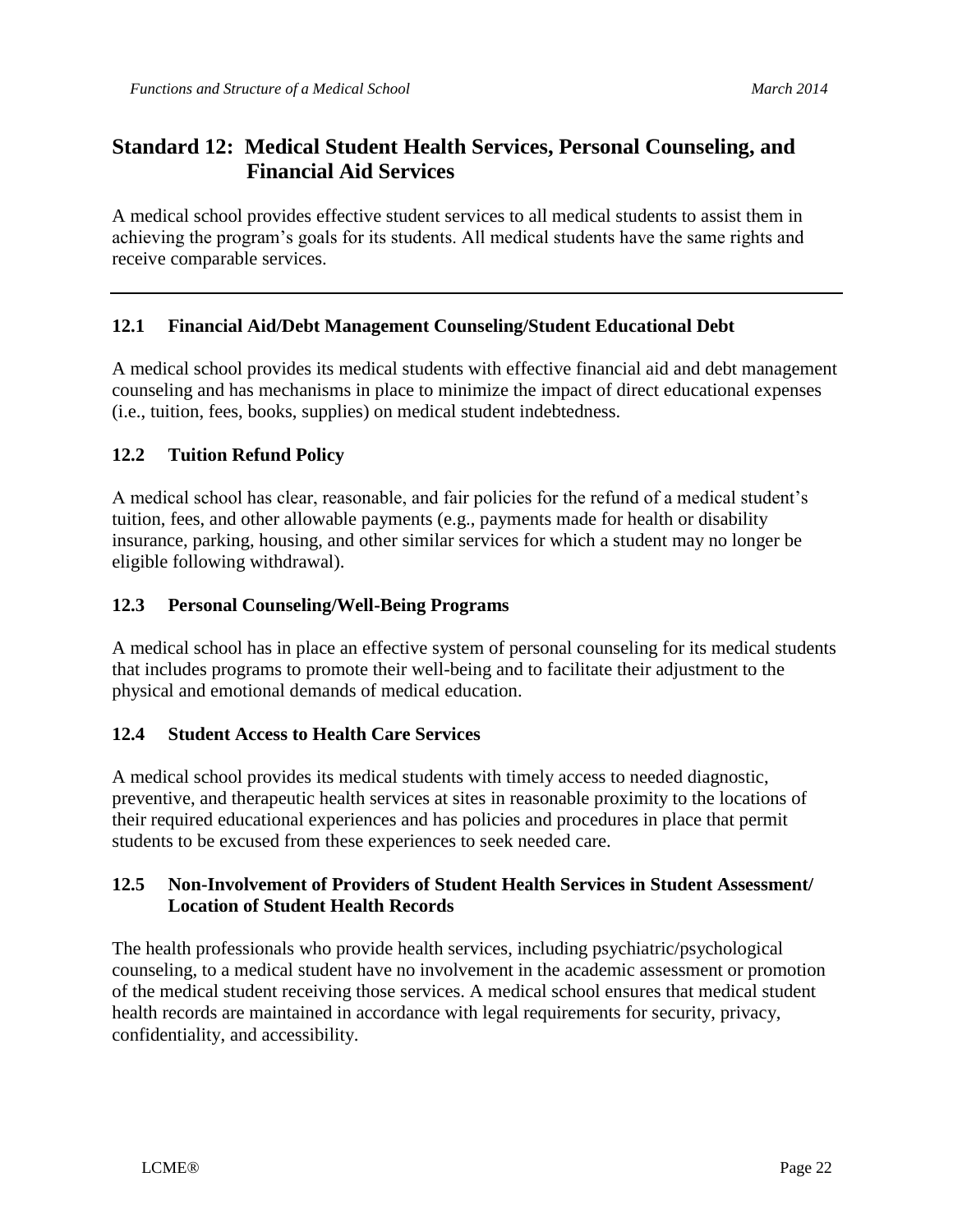## **Standard 12: Medical Student Health Services, Personal Counseling, and Financial Aid Services**

A medical school provides effective student services to all medical students to assist them in achieving the program's goals for its students. All medical students have the same rights and receive comparable services.

## **12.1 Financial Aid/Debt Management Counseling/Student Educational Debt**

A medical school provides its medical students with effective financial aid and debt management counseling and has mechanisms in place to minimize the impact of direct educational expenses (i.e., tuition, fees, books, supplies) on medical student indebtedness.

#### **12.2 Tuition Refund Policy**

A medical school has clear, reasonable, and fair policies for the refund of a medical student's tuition, fees, and other allowable payments (e.g., payments made for health or disability insurance, parking, housing, and other similar services for which a student may no longer be eligible following withdrawal).

#### **12.3 Personal Counseling/Well-Being Programs**

A medical school has in place an effective system of personal counseling for its medical students that includes programs to promote their well-being and to facilitate their adjustment to the physical and emotional demands of medical education.

#### **12.4 Student Access to Health Care Services**

A medical school provides its medical students with timely access to needed diagnostic, preventive, and therapeutic health services at sites in reasonable proximity to the locations of their required educational experiences and has policies and procedures in place that permit students to be excused from these experiences to seek needed care.

## **12.5 Non-Involvement of Providers of Student Health Services in Student Assessment/ Location of Student Health Records**

The health professionals who provide health services, including psychiatric/psychological counseling, to a medical student have no involvement in the academic assessment or promotion of the medical student receiving those services. A medical school ensures that medical student health records are maintained in accordance with legal requirements for security, privacy, confidentiality, and accessibility.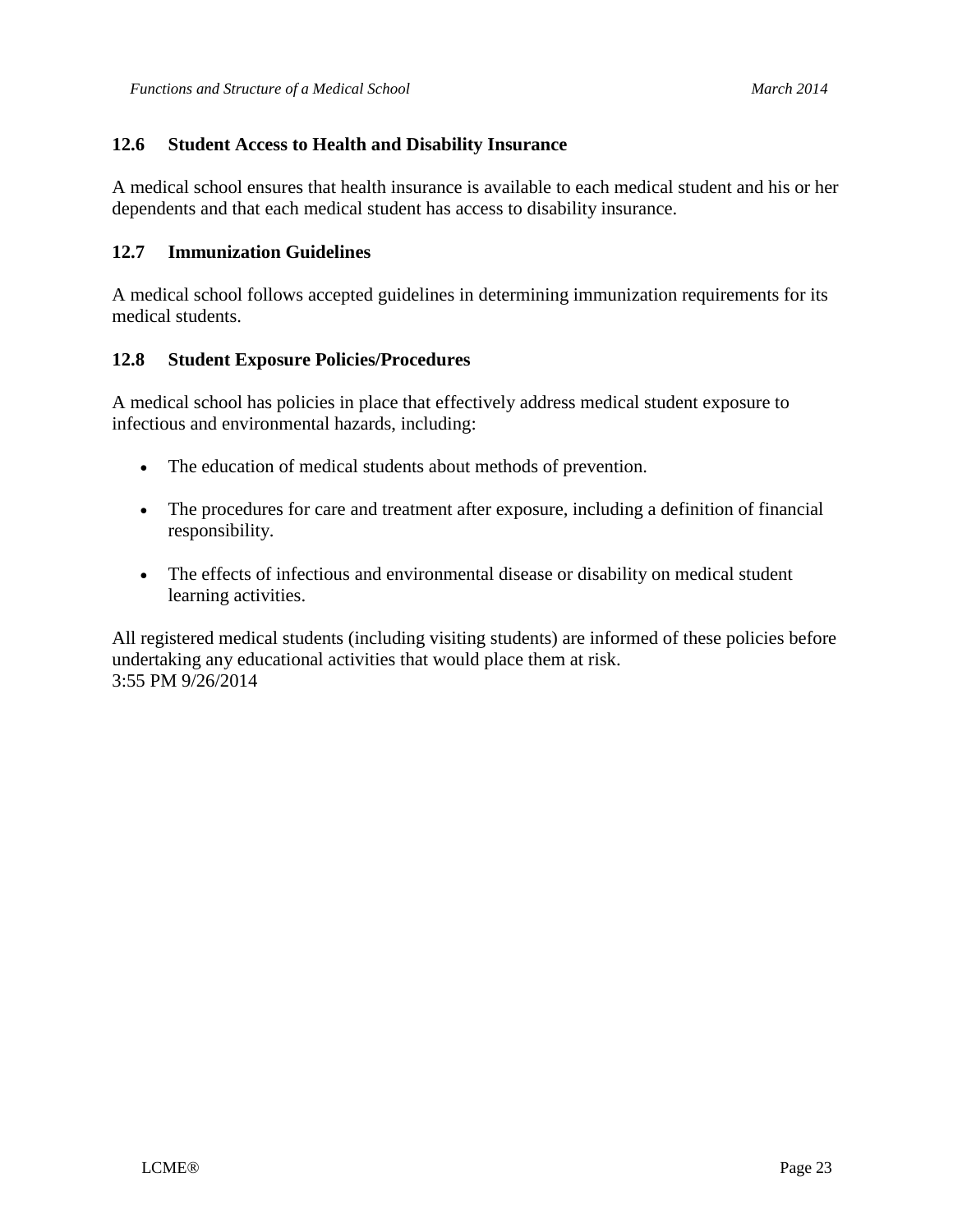#### **12.6 Student Access to Health and Disability Insurance**

A medical school ensures that health insurance is available to each medical student and his or her dependents and that each medical student has access to disability insurance.

#### **12.7 Immunization Guidelines**

A medical school follows accepted guidelines in determining immunization requirements for its medical students.

#### **12.8 Student Exposure Policies/Procedures**

A medical school has policies in place that effectively address medical student exposure to infectious and environmental hazards, including:

- The education of medical students about methods of prevention.
- The procedures for care and treatment after exposure, including a definition of financial responsibility.
- The effects of infectious and environmental disease or disability on medical student learning activities.

All registered medical students (including visiting students) are informed of these policies before undertaking any educational activities that would place them at risk. 3:55 PM 9/26/2014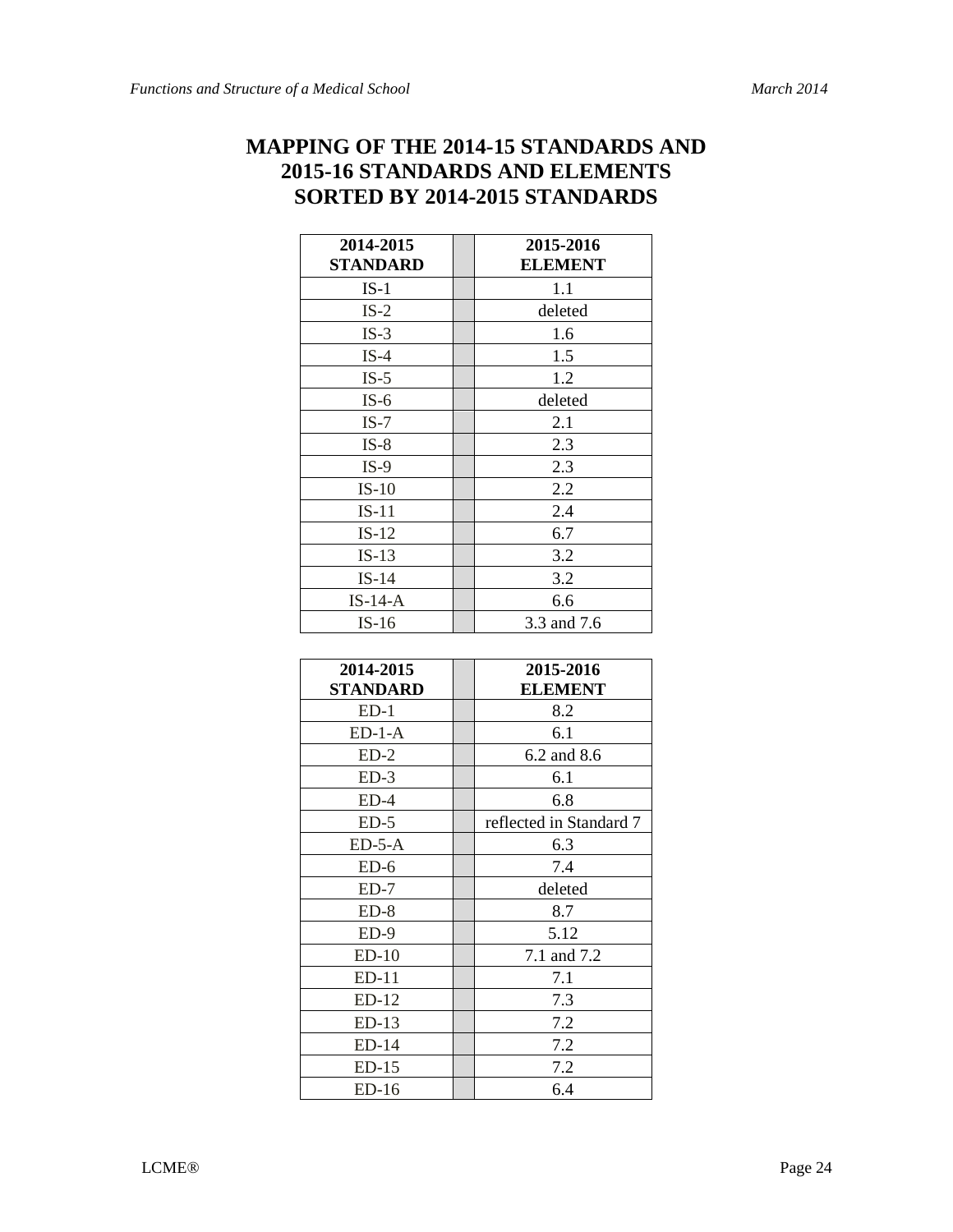# **MAPPING OF THE 2014-15 STANDARDS AND 2015-16 STANDARDS AND ELEMENTS SORTED BY 2014-2015 STANDARDS**

| 2014-2015<br>STANDARD | 2015-2016<br><b>ELEMENT</b> |
|-----------------------|-----------------------------|
| $IS-1$                | 1.1                         |
| $IS-2$                | deleted                     |
| $IS-3$                | 1.6                         |
| $IS-4$                | 1.5                         |
| $IS-5$                | 1.2                         |
| $IS-6$                | deleted                     |
| $IS-7$                | 2.1                         |
| $IS-8$                | 2.3                         |
| $IS-9$                | 2.3                         |
| $IS-10$               | 2.2                         |
| $IS-11$               | 2.4                         |
| $IS-12$               | 6.7                         |
| $IS-13$               | 3.2                         |
| $IS-14$               | 3.2                         |
| $IS-14-A$             | 6.6                         |
| $IS-16$               | 3.3 and 7.6                 |

| 2014-2015 | 2015-2016               |
|-----------|-------------------------|
| STANDARD  | <b>ELEMENT</b>          |
| $ED-1$    | 8.2                     |
| $ED-1-A$  | 6.1                     |
| $ED-2$    | 6.2 and 8.6             |
| $ED-3$    | 6.1                     |
| $ED-4$    | 6.8                     |
| $ED-5$    | reflected in Standard 7 |
| $ED-5-A$  | 6.3                     |
| $ED-6$    | 7.4                     |
| $ED-7$    | deleted                 |
| $ED-8$    | 8.7                     |
| $ED-9$    | 5.12                    |
| $ED-10$   | 7.1 and 7.2             |
| $ED-11$   | 7.1                     |
| $ED-12$   | 7.3                     |
| $ED-13$   | 7.2                     |
| $ED-14$   | 7.2                     |
| $ED-15$   | 7.2                     |
| $ED-16$   | 6.4                     |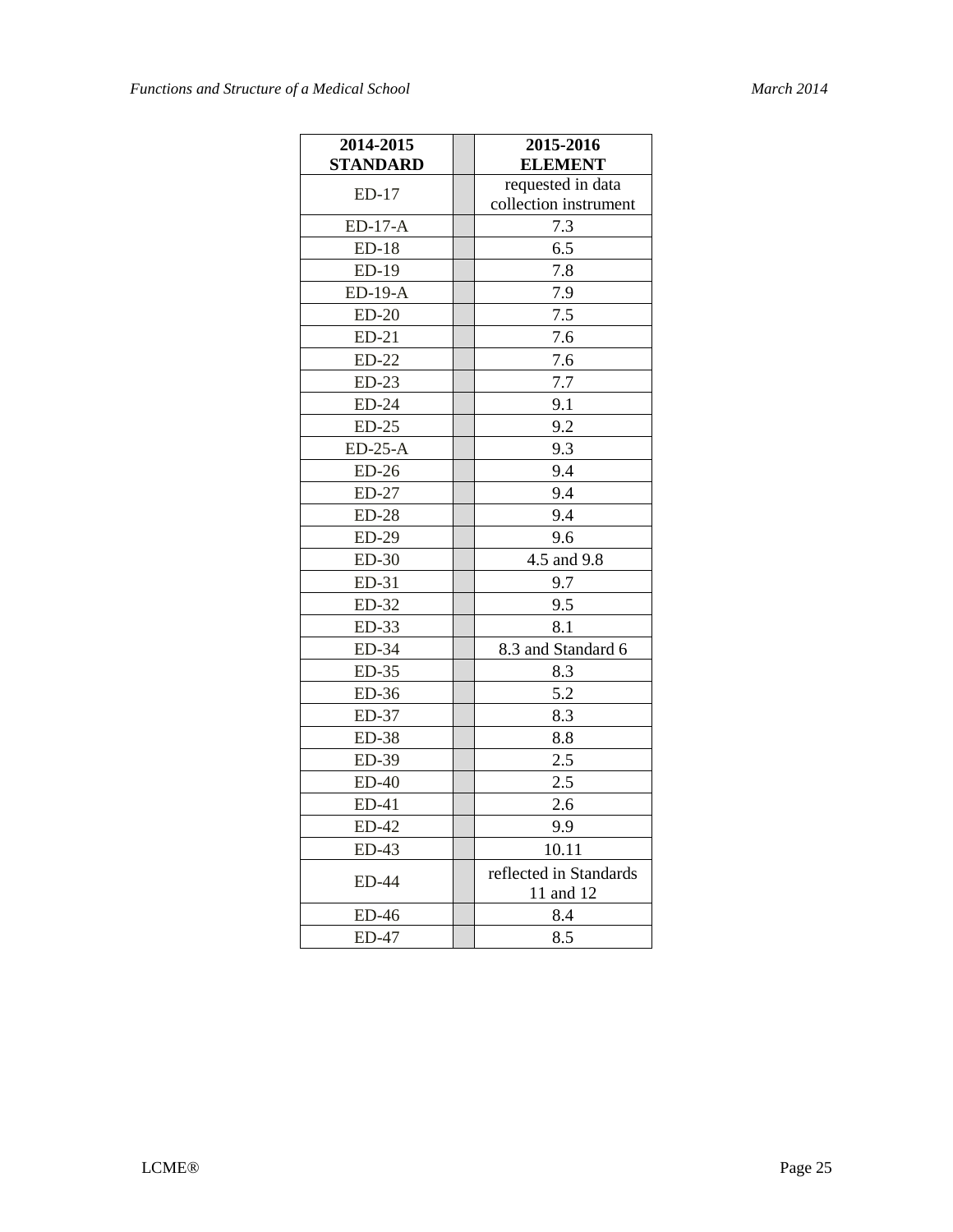| 2014-2015       | 2015-2016              |
|-----------------|------------------------|
| <b>STANDARD</b> | <b>ELEMENT</b>         |
| $ED-17$         | requested in data      |
|                 | collection instrument  |
| ED-17-A         | 7.3                    |
| $ED-18$         | 6.5                    |
| ED-19           | 7.8                    |
| ED-19-A         | 7.9                    |
| $ED-20$         | 7.5                    |
| $ED-21$         | 7.6                    |
| $ED-22$         | 7.6                    |
| $ED-23$         | 7.7                    |
| $ED-24$         | 9.1                    |
| $ED-25$         | 9.2                    |
| $ED-25-A$       | 9.3                    |
| $ED-26$         | 9.4                    |
| ED-27           | 9.4                    |
| $ED-28$         | 9.4                    |
| ED-29           | 9.6                    |
| $ED-30$         | 4.5 and 9.8            |
| ED-31           | 9.7                    |
| $ED-32$         | 9.5                    |
| ED-33           | 8.1                    |
| ED-34           | 8.3 and Standard 6     |
| ED-35           | 8.3                    |
| $ED-36$         | 5.2                    |
| ED-37           | 8.3                    |
| <b>ED-38</b>    | 8.8                    |
| ED-39           | 2.5                    |
| $ED-40$         | 2.5                    |
| ED-41           | 2.6                    |
| ED-42           | 9.9                    |
| $ED-43$         | 10.11                  |
|                 | reflected in Standards |
| <b>ED-44</b>    | 11 and 12              |
| ED-46           | 8.4                    |
| <b>ED-47</b>    | 8.5                    |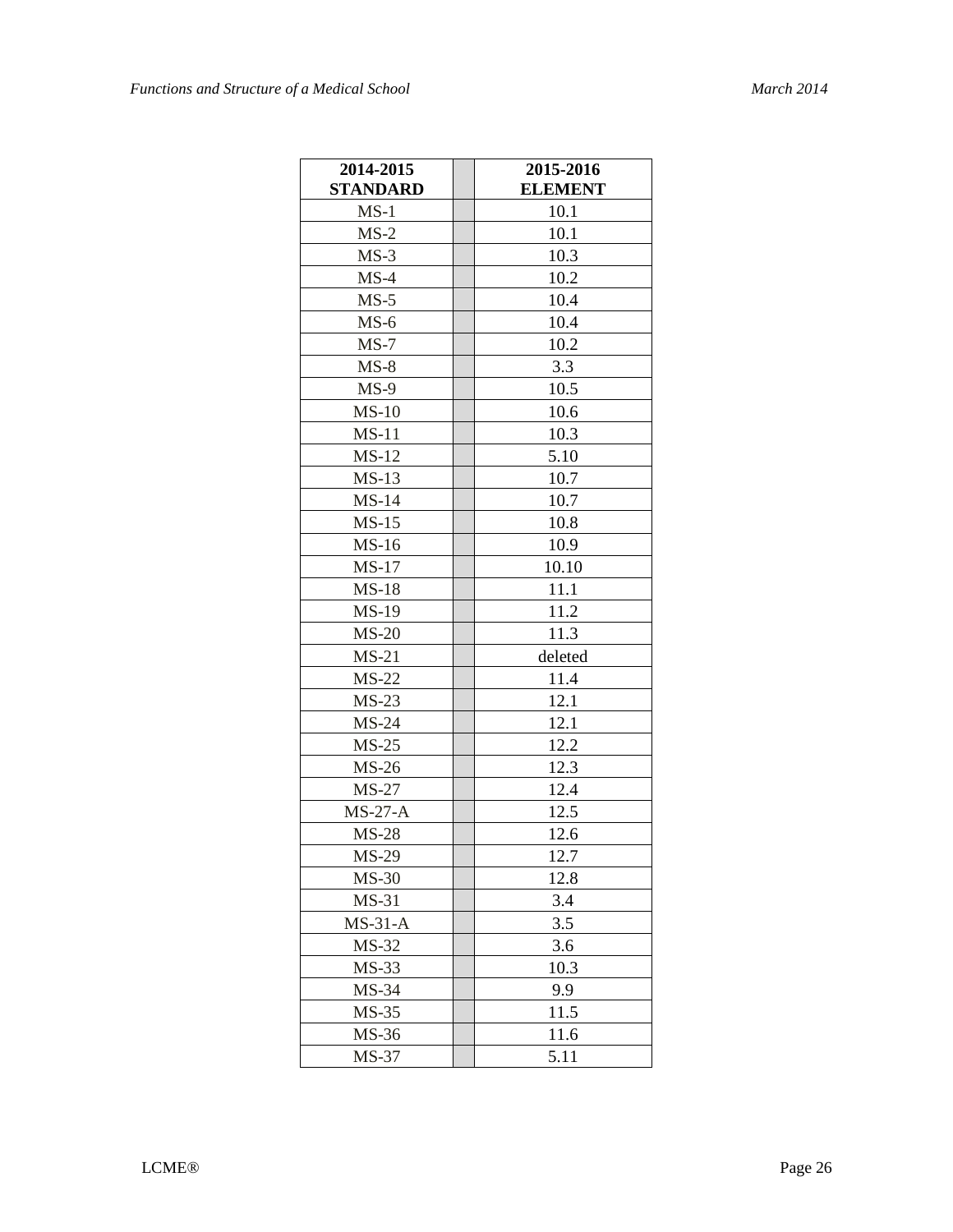| 2014-2015       | 2015-2016      |
|-----------------|----------------|
| <b>STANDARD</b> | <b>ELEMENT</b> |
| $MS-1$          | 10.1           |
| $MS-2$          | 10.1           |
| $MS-3$          | 10.3           |
| $MS-4$          | 10.2           |
| $MS-5$          | 10.4           |
| $MS-6$          | 10.4           |
| $MS-7$          | 10.2           |
| $MS-8$          | 3.3            |
| $MS-9$          | 10.5           |
| $MS-10$         | 10.6           |
| $MS-11$         | 10.3           |
| $MS-12$         | 5.10           |
| $MS-13$         | 10.7           |
| $MS-14$         | 10.7           |
| $MS-15$         | 10.8           |
| $MS-16$         | 10.9           |
| $MS-17$         | 10.10          |
| $MS-18$         | 11.1           |
| <b>MS-19</b>    | 11.2           |
| $MS-20$         | 11.3           |
| $MS-21$         | deleted        |
| $MS-22$         | 11.4           |
| $MS-23$         | 12.1           |
| $MS-24$         | 12.1           |
| $MS-25$         | 12.2           |
| $MS-26$         | 12.3           |
| $MS-27$         | 12.4           |
| $MS-27-A$       | 12.5           |
| $MS-28$         | 12.6           |
| <b>MS-29</b>    | 12.7           |
| $MS-30$         | 12.8           |
| $MS-31$         | 3.4            |
| $MS-31-A$       | 3.5            |
| $MS-32$         | 3.6            |
| $MS-33$         | 10.3           |
| MS-34           | 9.9            |
| $MS-35$         | 11.5           |
| MS-36           | 11.6           |
| MS-37           | 5.11           |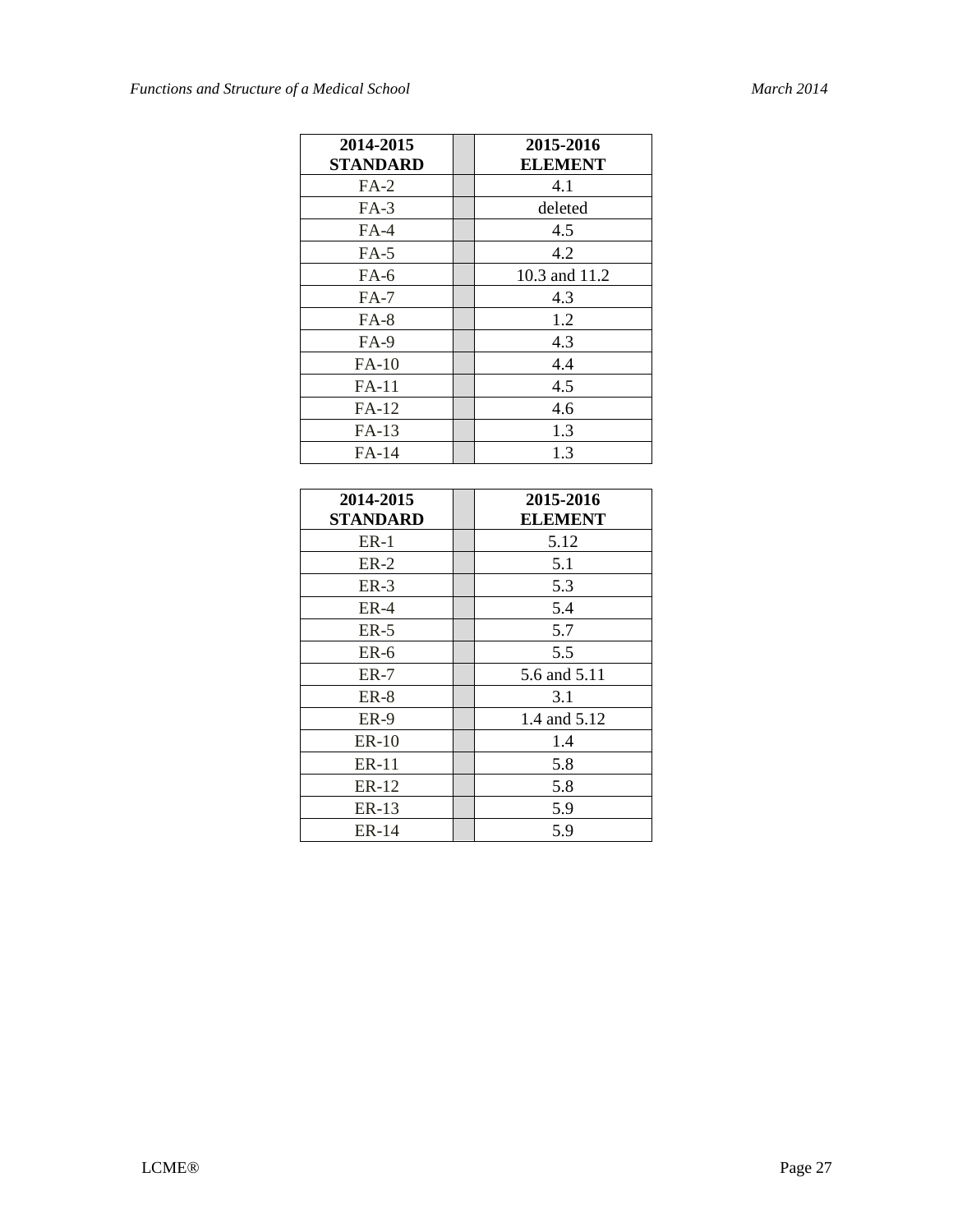| 2014-2015       | 2015-2016      |
|-----------------|----------------|
| <b>STANDARD</b> | <b>ELEMENT</b> |
| $FA-2$          | 4.1            |
| $FA-3$          | deleted        |
| $FA-4$          | 4.5            |
| $FA-5$          | 4.2            |
| $FA-6$          | 10.3 and 11.2  |
| $FA-7$          | 4.3            |
| $FA-8$          | 1.2            |
| $FA-9$          | 4.3            |
| $FA-10$         | 4.4            |
| FA-11           | 4.5            |
| $FA-12$         | 4.6            |
| $FA-13$         | 1.3            |
| FA-14           | 1.3            |

| 2014-2015       | 2015-2016      |
|-----------------|----------------|
| <b>STANDARD</b> | <b>ELEMENT</b> |
| $ER-1$          | 5.12           |
| $ER-2$          | 5.1            |
| $ER-3$          | 5.3            |
| $ER-4$          | 5.4            |
| $ER-5$          | 5.7            |
| $ER-6$          | 5.5            |
| ER-7            | 5.6 and 5.11   |
| ER-8            | 3.1            |
| ER-9            | 1.4 and 5.12   |
| ER-10           | 1.4            |
| ER-11           | 5.8            |
| ER-12           | 5.8            |
| ER-13           | 5.9            |
| ER-14           | 5.9            |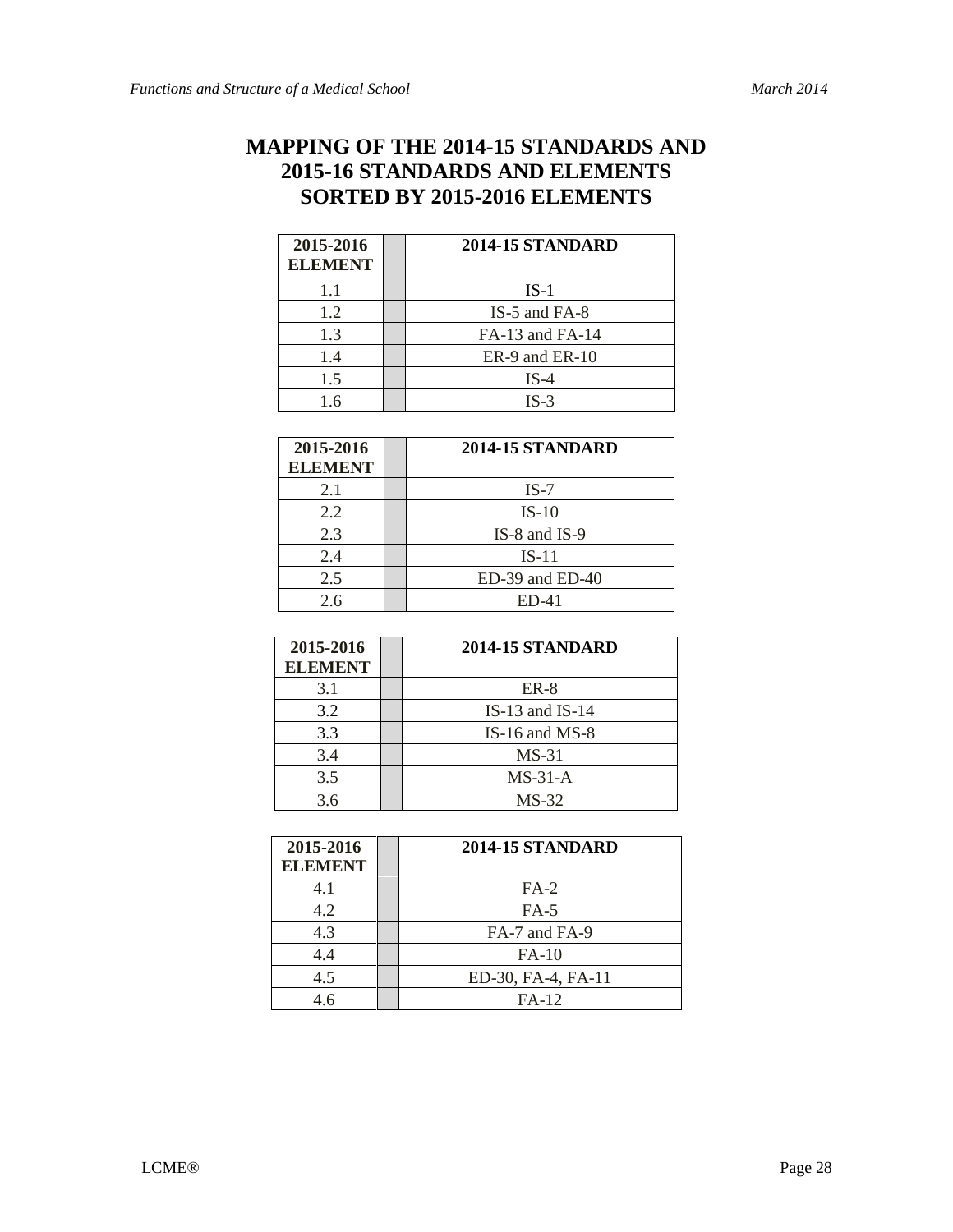# **MAPPING OF THE 2014-15 STANDARDS AND 2015-16 STANDARDS AND ELEMENTS SORTED BY 2015-2016 ELEMENTS**

| 2015-2016<br><b>ELEMENT</b> | <b>2014-15 STANDARD</b> |
|-----------------------------|-------------------------|
| 1.1                         | $IS-1$                  |
| 1.2                         | IS-5 and FA-8           |
| 1.3                         | FA-13 and FA-14         |
| 1.4                         | ER-9 and ER-10          |
| 1.5                         | $IS-4$                  |
| 1.6                         | $IS-3$                  |

| 2015-2016<br><b>ELEMENT</b> | 2014-15 STANDARD  |
|-----------------------------|-------------------|
| 2.1                         | $IS-7$            |
| 2.2                         | $IS-10$           |
| 2.3                         | $IS-8$ and $IS-9$ |
| 2.4                         | $IS-11$           |
| 2.5                         | ED-39 and ED-40   |
| 2.6                         | $ED-41$           |

| 2015-2016<br><b>ELEMENT</b> | <b>2014-15 STANDARD</b> |
|-----------------------------|-------------------------|
| 3.1                         | $ER-8$                  |
| 3.2                         | IS-13 and IS-14         |
| 3.3                         | IS-16 and $MS-8$        |
| 3.4                         | $MS-31$                 |
| 3.5                         | $MS-31-A$               |
| 3.6                         | $MS-32$                 |

| 2015-2016<br><b>ELEMENT</b> | <b>2014-15 STANDARD</b> |
|-----------------------------|-------------------------|
| 4.1                         | $FA-2$                  |
| 4.2                         | $FA-5$                  |
| 4.3                         | FA-7 and FA-9           |
| 4.4                         | $FA-10$                 |
| 4.5                         | ED-30, FA-4, FA-11      |
| 46                          | $FA-12$                 |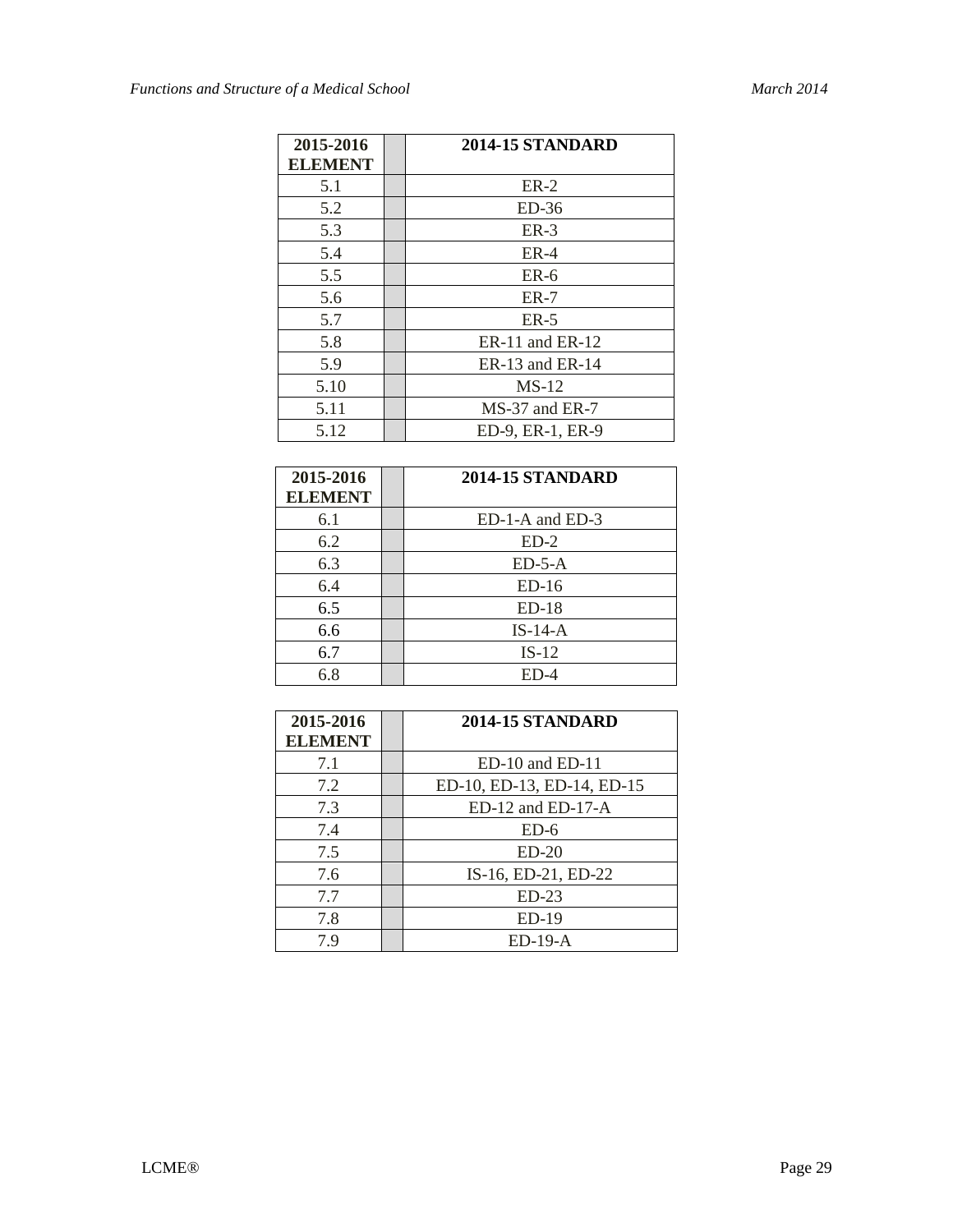| 2015-2016<br><b>ELEMENT</b> | <b>2014-15 STANDARD</b> |
|-----------------------------|-------------------------|
| 5.1                         | $ER-2$                  |
| 5.2                         | $ED-36$                 |
| 5.3                         | $ER-3$                  |
| 5.4                         | $ER-4$                  |
| 5.5                         | $ER-6$                  |
| 5.6                         | $ER-7$                  |
| 5.7                         | $ER-5$                  |
| 5.8                         | $ER-11$ and $ER-12$     |
| 5.9                         | $ER-13$ and $ER-14$     |
| 5.10                        | $MS-12$                 |
| 5.11                        | MS-37 and ER-7          |
| 5.12                        | ED-9, ER-1, ER-9        |

| 2015-2016      | <b>2014-15 STANDARD</b> |
|----------------|-------------------------|
| <b>ELEMENT</b> |                         |
| 6.1            | ED-1-A and ED-3         |
| 6.2            | $ED-2$                  |
| 6.3            | $ED-5-A$                |
| 6.4            | $ED-16$                 |
| 6.5            | $ED-18$                 |
| 6.6            | $IS-14-A$               |
| 6.7            | $IS-12$                 |
| 6.8            | $ED-4$                  |

| 2015-2016      | <b>2014-15 STANDARD</b>    |
|----------------|----------------------------|
| <b>ELEMENT</b> |                            |
| 7.1            | $ED-10$ and $ED-11$        |
| 7.2            | ED-10, ED-13, ED-14, ED-15 |
| 7.3            | $ED-12$ and $ED-17-A$      |
| 7.4            | $ED-6$                     |
| 7.5            | $ED-20$                    |
| 7.6            | IS-16, ED-21, ED-22        |
| 7.7            | $ED-23$                    |
| 7.8            | $ED-19$                    |
| 79             | $ED-19-A$                  |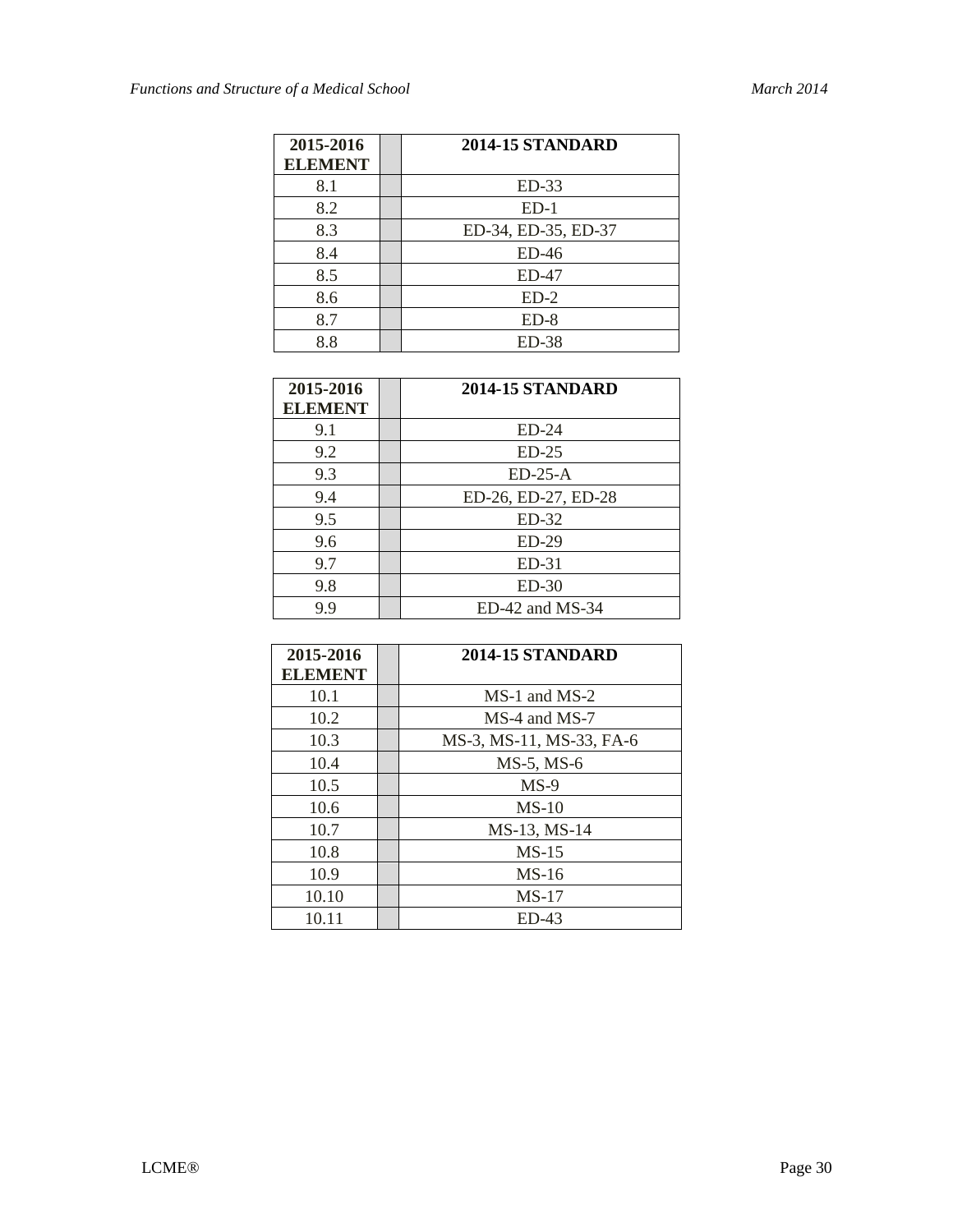| 2015-2016<br><b>ELEMENT</b> | <b>2014-15 STANDARD</b> |
|-----------------------------|-------------------------|
| 8.1                         | $ED-33$                 |
| 8.2                         | $ED-1$                  |
| 8.3                         | ED-34, ED-35, ED-37     |
| 8.4                         | $ED-46$                 |
| 8.5                         | $ED-47$                 |
| 8.6                         | $ED-2$                  |
| 8.7                         | $ED-8$                  |
| 8.8                         | <b>ED-38</b>            |

| 2015-2016      | <b>2014-15 STANDARD</b> |
|----------------|-------------------------|
| <b>ELEMENT</b> |                         |
| 9.1            | $ED-24$                 |
| 9.2            | $ED-25$                 |
| 9.3            | $ED-25-A$               |
| 9.4            | ED-26, ED-27, ED-28     |
| 9.5            | $ED-32$                 |
| 9.6            | $ED-29$                 |
| 9.7            | $ED-31$                 |
| 9.8            | $ED-30$                 |
| 9.9            | $ED-42$ and MS-34       |

| 2015-2016<br><b>ELEMENT</b> | <b>2014-15 STANDARD</b>  |
|-----------------------------|--------------------------|
| 10.1                        | MS-1 and MS-2            |
| 10.2                        | MS-4 and MS-7            |
| 10.3                        | MS-3, MS-11, MS-33, FA-6 |
| 10.4                        | $MS-5$ , $MS-6$          |
| 10.5                        | $MS-9$                   |
| 10.6                        | $MS-10$                  |
| 10.7                        | MS-13, MS-14             |
| 10.8                        | $MS-15$                  |
| 10.9                        | $MS-16$                  |
| 10.10                       | $MS-17$                  |
| 10.11                       | $ED-43$                  |